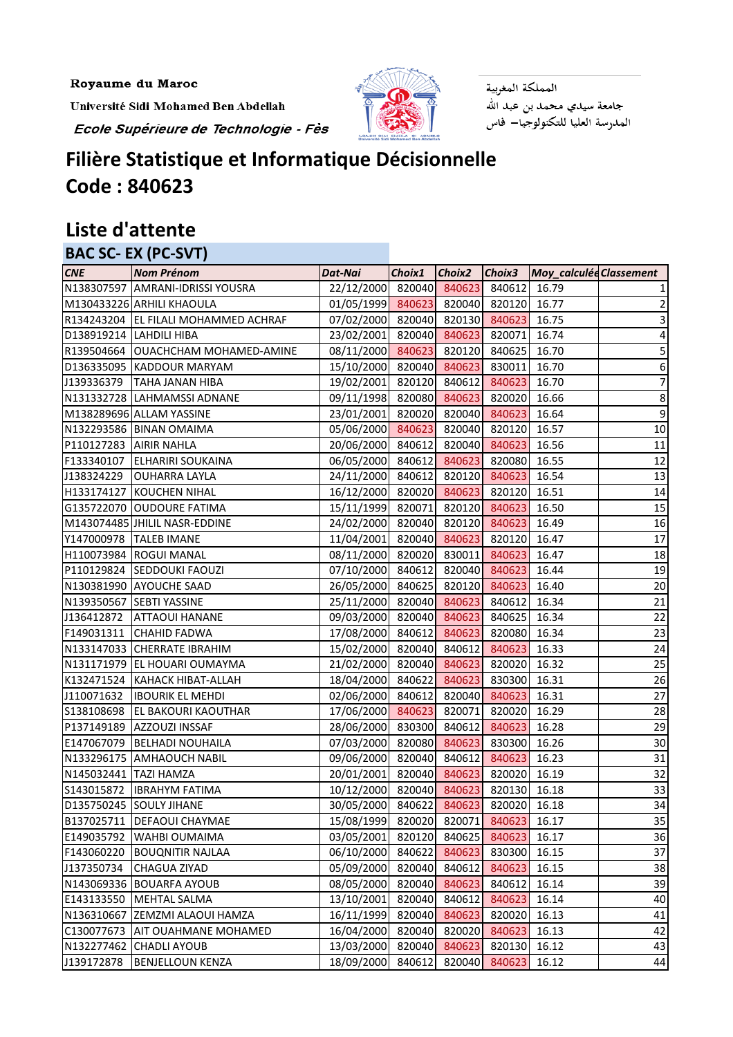Royaume du Maroc

Université Sidi Mohamed Ben Abdellah

Ecole Supérieure de Technologie - Fès



المملكة المغربية جامعة سيدي محمد بن عبد الله<br>المدرسة العليا للتكنولوجيا— فاس

## **Filière Statistique et Informatique Décisionnelle Code : 840623**

## **Liste d'attente**

## **BAC SC- EX (PC-SVT)**

| <b>CNE</b>              | <b>Nom Prénom</b>                    | Dat-Nai                  | $Choix1$ $Choix2$ |        |              | Choix3 Moy_calculée Classement |                 |
|-------------------------|--------------------------------------|--------------------------|-------------------|--------|--------------|--------------------------------|-----------------|
|                         | N138307597 AMRANI-IDRISSI YOUSRA     | 22/12/2000 820040        |                   | 840623 | 840612 16.79 |                                |                 |
|                         | M130433226 ARHILI KHAOULA            | 01/05/1999 840623        |                   | 820040 | 820120       | 16.77                          | 2               |
|                         | R134243204 EL FILALI MOHAMMED ACHRAF | 07/02/2000 820040        |                   | 820130 | 840623       | 16.75                          | 3               |
| D138919214 LAHDILI HIBA |                                      | 23/02/2001 820040        |                   | 840623 | 820071       | 16.74                          | 4               |
|                         | R139504664 OUACHCHAM MOHAMED-AMINE   | 08/11/2000 840623        |                   | 820120 | 840625       | 16.70                          | 5               |
|                         | D136335095 KADDOUR MARYAM            | 15/10/2000 820040        |                   | 840623 | 830011       | 16.70                          | 6               |
| J139336379              | <b>TAHA JANAN HIBA</b>               | 19/02/2001 820120        |                   | 840612 | 840623       | 16.70                          | 7               |
|                         | N131332728 LAHMAMSSI ADNANE          | 09/11/1998 820080 840623 |                   |        | 820020       | 16.66                          | 8               |
|                         | M138289696 ALLAM YASSINE             | 23/01/2001 820020        |                   | 820040 | 840623       | 16.64                          | 9               |
|                         | N132293586 BINAN OMAIMA              | 05/06/2000 840623        |                   | 820040 | 820120 16.57 |                                | $10\,$          |
| P110127283 AIRIR NAHLA  |                                      | 20/06/2000 840612        |                   | 820040 | 840623       | 16.56                          | 11              |
| F133340107              | <b>ELHARIRI SOUKAINA</b>             | 06/05/2000 840612        |                   | 840623 | 820080       | 16.55                          | 12              |
| J138324229              | <b>OUHARRA LAYLA</b>                 | 24/11/2000 840612        |                   | 820120 | 840623       | 16.54                          | 13              |
|                         | H133174127 KOUCHEN NIHAL             | 16/12/2000 820020 840623 |                   |        | 820120       | 16.51                          | 14              |
|                         | G135722070 OUDOURE FATIMA            | 15/11/1999 820071        |                   | 820120 | 840623       | 16.50                          | 15              |
|                         | M143074485 JHILIL NASR-EDDINE        | 24/02/2000 820040        |                   | 820120 | 840623       | 16.49                          | 16              |
|                         | Y147000978  TALEB IMANE              | 11/04/2001 820040        |                   | 840623 | 820120       | 16.47                          | $17\,$          |
|                         | H110073984 ROGUI MANAL               | 08/11/2000 820020        |                   | 830011 | 840623       | 16.47                          | 18              |
|                         | P110129824 SEDDOUKI FAOUZI           | 07/10/2000 840612        |                   | 820040 | 840623       | 16.44                          | 19              |
|                         | N130381990 AYOUCHE SAAD              | 26/05/2000 840625        |                   | 820120 | 840623       | 16.40                          | 20              |
|                         | N139350567 SEBTI YASSINE             | 25/11/2000 820040        |                   | 840623 | 840612       | 16.34                          | 21              |
| J136412872              | <b>ATTAOUI HANANE</b>                | 09/03/2000 820040        |                   | 840623 | 840625       | 16.34                          | 22              |
| F149031311              | <b>CHAHID FADWA</b>                  | 17/08/2000 840612        |                   | 840623 | 820080 16.34 |                                | 23              |
|                         | N133147033 CHERRATE IBRAHIM          | 15/02/2000 820040        |                   | 840612 | 840623       | 16.33                          | 24              |
|                         | N131171979 EL HOUARI OUMAYMA         | 21/02/2000 820040        |                   | 840623 | 820020       | 16.32                          | 25              |
| K132471524              | KAHACK HIBAT-ALLAH                   | 18/04/2000 840622        |                   | 840623 | 830300       | 16.31                          | 26              |
| J110071632              | <b>IBOURIK EL MEHDI</b>              | 02/06/2000 840612        |                   | 820040 | 840623       | 16.31                          | $\overline{27}$ |
| S138108698              | <b>EL BAKOURI KAOUTHAR</b>           | 17/06/2000 840623        |                   | 820071 | 820020       | 16.29                          | 28              |
| P137149189              | AZZOUZI INSSAF                       | 28/06/2000 830300        |                   | 840612 | 840623       | 16.28                          | 29              |
|                         | E147067079   BELHADI NOUHAILA        | 07/03/2000 820080 840623 |                   |        | 830300 16.26 |                                | 30              |
|                         | N133296175 AMHAOUCH NABIL            | 09/06/2000 820040        |                   | 840612 | 840623       | 16.23                          | 31              |
| N145032441   TAZI HAMZA |                                      | 20/01/2001               | 820040            | 840623 | 820020       | 16.19                          | 32              |
| S143015872              | <b>IBRAHYM FATIMA</b>                | 10/12/2000               | 820040            | 840623 | 820130       | 16.18                          | 33              |
| D135750245              | <b>SOULY JIHANE</b>                  | 30/05/2000               | 840622            | 840623 | 820020       | 16.18                          | 34              |
| B137025711              | <b>DEFAOUI CHAYMAE</b>               | 15/08/1999               | 820020            | 820071 | 840623       | 16.17                          | 35              |
| E149035792              | <b>WAHBI OUMAIMA</b>                 | 03/05/2001               | 820120            | 840625 | 840623       | 16.17                          | 36              |
| F143060220              | <b>BOUQNITIR NAJLAA</b>              | 06/10/2000               | 840622            | 840623 | 830300       | 16.15                          | 37              |
| J137350734              | <b>CHAGUA ZIYAD</b>                  | 05/09/2000               | 820040            | 840612 | 840623       | 16.15                          | 38              |
| N143069336              | <b>BOUARFA AYOUB</b>                 | 08/05/2000               | 820040            | 840623 | 840612       | 16.14                          | 39              |
| E143133550              | MEHTAL SALMA                         | 13/10/2001               | 820040            | 840612 | 840623       | 16.14                          | 40              |
| N136310667              | <b>ZEMZMI ALAOUI HAMZA</b>           | 16/11/1999               | 820040            | 840623 | 820020       | 16.13                          | 41              |
| C130077673              | <b>AIT OUAHMANE MOHAMED</b>          | 16/04/2000               | 820040            | 820020 | 840623       | 16.13                          | 42              |
| N132277462              | <b>CHADLI AYOUB</b>                  | 13/03/2000               | 820040            | 840623 | 820130       | 16.12                          | 43              |
| J139172878              | <b>BENJELLOUN KENZA</b>              | 18/09/2000 840612        |                   | 820040 | 840623       | 16.12                          | 44              |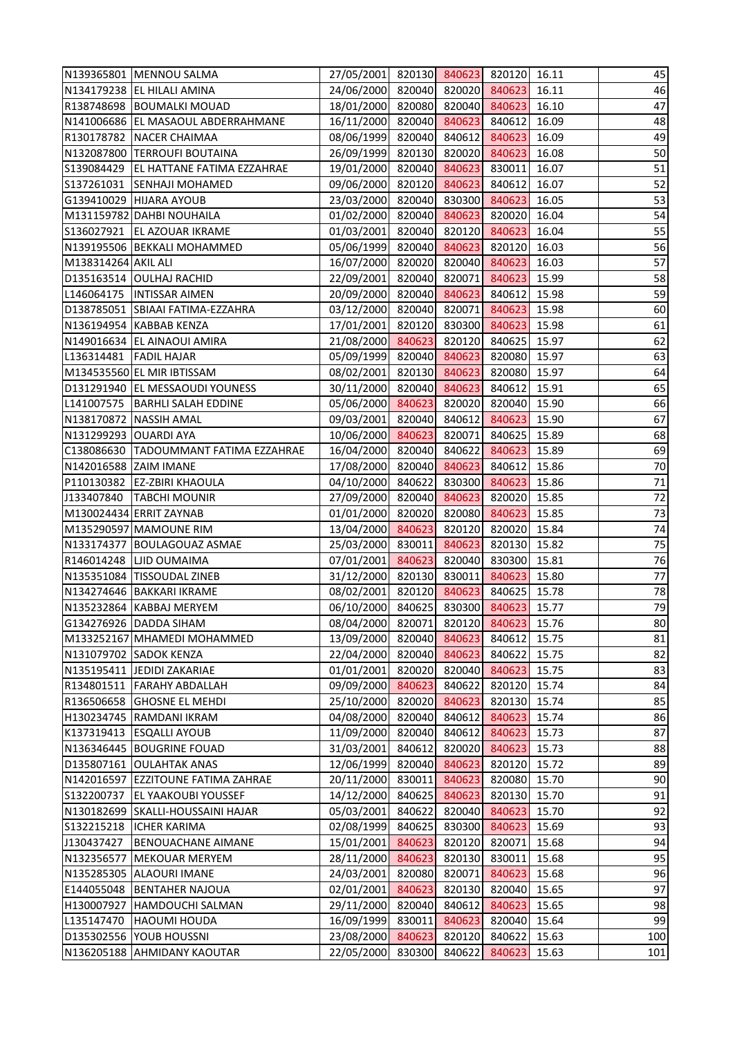|                        | N139365801 MENNOU SALMA                                         | 27/05/2001 820130 840623 820120 16.11         |        |                  |                        |       | 45       |
|------------------------|-----------------------------------------------------------------|-----------------------------------------------|--------|------------------|------------------------|-------|----------|
|                        | N134179238 EL HILALI AMINA                                      | 24/06/2000 820040 820020 840623 16.11         |        |                  |                        |       | 46       |
|                        | R138748698 BOUMALKI MOUAD                                       | 18/01/2000 820080 820040 840623               |        |                  |                        | 16.10 | 47       |
|                        | N141006686 EL MASAOUL ABDERRAHMANE                              | 16/11/2000 820040 840623                      |        |                  | 840612                 | 16.09 | 48       |
|                        | R130178782 NACER CHAIMAA                                        | 08/06/1999 820040 840612                      |        |                  | 840623                 | 16.09 | 49       |
|                        | N132087800 TERROUFI BOUTAINA                                    | 26/09/1999 820130 820020                      |        |                  | 840623                 | 16.08 | 50       |
|                        | S139084429   EL HATTANE FATIMA EZZAHRAE                         | 19/01/2000 820040 840623                      |        |                  | 830011                 | 16.07 | 51       |
| S137261031             | <b>SENHAJI MOHAMED</b>                                          | 09/06/2000 820120 840623                      |        |                  | 840612                 | 16.07 | 52       |
|                        | G139410029 HIJARA AYOUB                                         | 23/03/2000 820040 830300                      |        |                  | 840623                 | 16.05 | 53       |
|                        | M131159782 DAHBI NOUHAILA                                       | 01/02/2000 820040 840623                      |        |                  | 820020 16.04           |       | 54       |
|                        | S136027921 EL AZOUAR IKRAME                                     | 01/03/2001 820040 820120                      |        |                  | 840623                 | 16.04 | 55       |
|                        | N139195506 BEKKALI MOHAMMED                                     | 05/06/1999 820040 840623                      |        |                  | 820120 16.03           |       | 56       |
| M138314264 AKIL ALI    |                                                                 | 16/07/2000 820020 820040                      |        |                  | 840623                 | 16.03 | 57       |
|                        | D135163514 OULHAJ RACHID                                        | 22/09/2001 820040 820071                      |        |                  | 840623                 | 15.99 | 58       |
|                        | L146064175  INTISSAR AIMEN                                      | 20/09/2000 820040 840623                      |        |                  | 840612 15.98           |       | 59       |
|                        | D138785051 SBIAAI FATIMA-EZZAHRA                                | 03/12/2000 820040 820071                      |        |                  | 840623                 | 15.98 | 60       |
|                        | N136194954 KABBAB KENZA                                         | 17/01/2001 820120 830300 840623               |        |                  |                        | 15.98 | 61       |
|                        | N149016634 EL AINAOUI AMIRA                                     | 21/08/2000 840623                             |        | 820120           | 840625 15.97           |       | 62       |
| L136314481 FADIL HAJAR |                                                                 | 05/09/1999 820040 840623                      |        |                  | 820080 15.97           |       | 63       |
|                        | M134535560 EL MIR IBTISSAM                                      | 08/02/2001 820130 840623                      |        |                  | 820080 15.97           |       | 64       |
|                        | D131291940 EL MESSAOUDI YOUNESS                                 | 30/11/2000 820040 840623                      |        |                  | 840612                 | 15.91 | 65       |
|                        | L141007575   BARHLI SALAH EDDINE                                | 05/06/2000 840623 820020 820040 15.90         |        |                  |                        |       | 66       |
| N138170872             | NASSIH AMAL                                                     | 09/03/2001 820040 840612                      |        |                  | 840623                 | 15.90 | 67       |
| N131299293 OUARDI AYA  |                                                                 | 10/06/2000 840623                             |        | 820071           | 840625 15.89           |       | 68       |
|                        | C138086630   TADOUMMANT FATIMA EZZAHRAE                         | 16/04/2000 820040 840622                      |        |                  | 840623                 | 15.89 | 69       |
| N142016588 ZAIM IMANE  |                                                                 | 17/08/2000 820040 840623                      |        |                  | 840612                 | 15.86 | 70       |
|                        | P110130382 EZ-ZBIRI KHAOULA                                     | 04/10/2000 840622                             |        | 830300           | 840623                 | 15.86 | 71       |
| J133407840             | <b>TABCHI MOUNIR</b>                                            | 27/09/2000 820040 840623                      |        |                  | 820020                 | 15.85 | 72       |
|                        | M130024434 ERRIT ZAYNAB                                         | 01/01/2000 820020 820080 840623               |        |                  |                        | 15.85 | 73       |
|                        | M135290597 MAMOUNE RIM                                          | 13/04/2000 840623                             |        | 820120           | 820020 15.84           |       | 74       |
|                        | N133174377 BOULAGOUAZ ASMAE                                     | 25/03/2000 830011 840623                      |        |                  | 820130 15.82           |       | 75       |
|                        | R146014248   LJID OUMAIMA                                       | 07/01/2001 840623 820040 830300 15.81         |        |                  |                        |       | 76       |
|                        | N135351084 TISSOUDAL ZINEB                                      | 31/12/2000 820130 830011                      |        |                  | 840623                 | 15.80 | 77       |
|                        | N134274646 BAKKARI IKRAME                                       | 08/02/2001 820120 840623                      |        |                  | 840625                 | 15.78 | 78       |
|                        | N135232864 KABBAJ MERYEM                                        | 06/10/2000 840625                             |        | 830300           | 840623                 | 15.77 | 79       |
|                        | G134276926 DADDA SIHAM                                          | 08/04/2000 820071                             |        | 820120           | 840623                 | 15.76 | 80       |
|                        | M133252167 MHAMEDI MOHAMMED                                     | 13/09/2000 820040 840623                      |        |                  | 840612                 | 15.75 | 81       |
|                        | N131079702 SADOK KENZA                                          | 22/04/2000 820040                             |        | 840623           | 840622                 | 15.75 | 82       |
|                        | N135195411 JEDIDI ZAKARIAE                                      | 01/01/2001 820020 820040                      |        |                  | 840623                 | 15.75 | 83       |
| R134801511             | <b>FARAHY ABDALLAH</b>                                          | 09/09/2000 840623                             |        | 840622           | 820120                 | 15.74 | 84       |
| R136506658             | <b>GHOSNE EL MEHDI</b>                                          | 25/10/2000 820020 840623                      |        |                  | 820130                 | 15.74 | 85       |
|                        | H130234745 RAMDANI IKRAM                                        | 04/08/2000 820040                             |        | 840612           | 840623                 | 15.74 | 86       |
| K137319413             | <b>ESQALLI AYOUB</b>                                            | 11/09/2000 820040                             |        | 840612           | 840623                 | 15.73 | 87       |
|                        | N136346445 BOUGRINE FOUAD                                       | 31/03/2001 840612                             |        | 820020           | 840623                 | 15.73 | 88       |
|                        | D135807161 OULAHTAK ANAS                                        | 12/06/1999 820040                             |        | 840623           | 820120                 | 15.72 | 89       |
|                        | N142016597 EZZITOUNE FATIMA ZAHRAE                              | 20/11/2000 830011                             |        | 840623           | 820080                 | 15.70 | 90       |
| S132200737             | <b>EL YAAKOUBI YOUSSEF</b><br>N130182699 SKALLI-HOUSSAINI HAJAR | 14/12/2000 840625 840623<br>05/03/2001 840622 |        |                  | 820130 15.70<br>840623 | 15.70 | 91<br>92 |
| S132215218             | <b>ICHER KARIMA</b>                                             | 02/08/1999 840625                             |        | 820040<br>830300 | 840623                 | 15.69 | 93       |
| J130437427             | BENOUACHANE AIMANE                                              | 15/01/2001 840623                             |        | 820120           | 820071                 | 15.68 | 94       |
| N132356577             | MEKOUAR MERYEM                                                  | 28/11/2000 840623                             |        | 820130           | 830011                 | 15.68 | 95       |
|                        | N135285305 ALAOURI IMANE                                        | 24/03/2001 820080                             |        | 820071           | 840623                 | 15.68 | 96       |
| E144055048             | <b>BENTAHER NAJOUA</b>                                          | 02/01/2001 840623                             |        | 820130           | 820040                 | 15.65 | 97       |
| H130007927             | HAMDOUCHI SALMAN                                                | 29/11/2000 820040                             |        | 840612           | 840623                 | 15.65 | 98       |
| L135147470             | <b>HAOUMI HOUDA</b>                                             | 16/09/1999                                    | 830011 | 840623           | 820040                 | 15.64 | 99       |
|                        | D135302556 YOUB HOUSSNI                                         | 23/08/2000 840623                             |        | 820120           | 840622                 | 15.63 | 100      |
|                        | N136205188 AHMIDANY KAOUTAR                                     | 22/05/2000 830300                             |        | 840622           | 840623                 | 15.63 | 101      |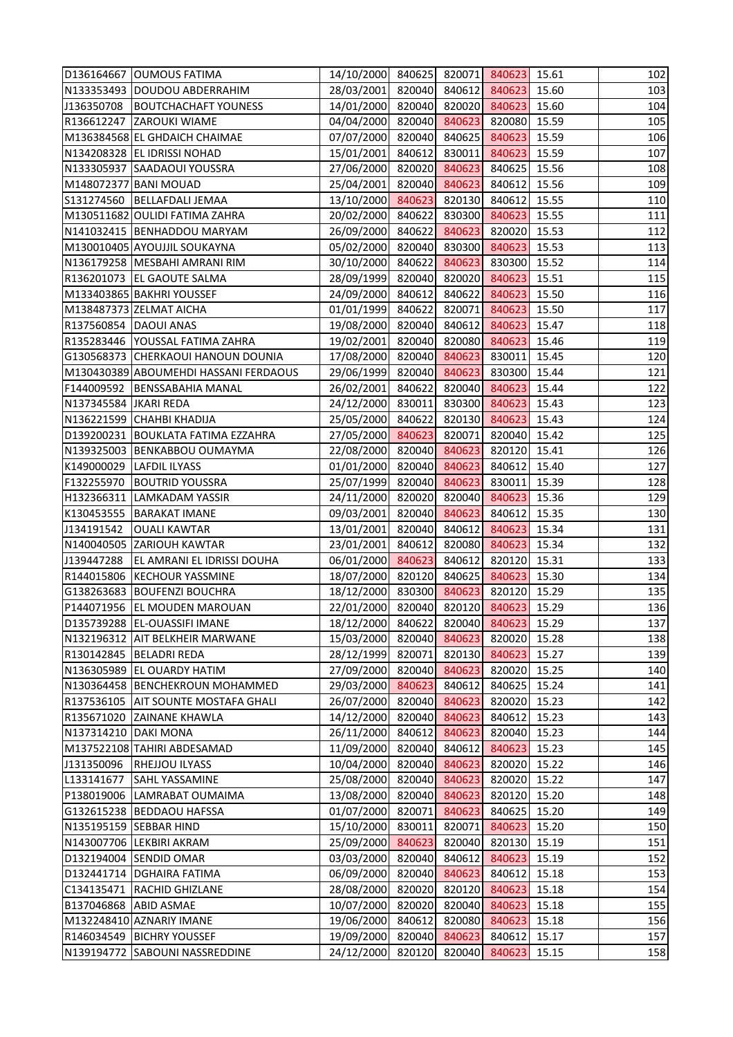|                          | D136164667 OUMOUS FATIMA                           | 14/10/2000 840625 820071 840623 15.61  |        |                  |                  |                | 102        |
|--------------------------|----------------------------------------------------|----------------------------------------|--------|------------------|------------------|----------------|------------|
|                          | N133353493 DOUDOU ABDERRAHIM                       | 28/03/2001 820040 840612               |        |                  | 840623           | 15.60          | 103        |
| J136350708               | BOUTCHACHAFT YOUNESS                               | 14/01/2000 820040 820020 840623        |        |                  |                  | 15.60          | 104        |
|                          | R136612247 ZAROUKI WIAME                           | 04/04/2000 820040 840623               |        |                  | 820080           | 15.59          | 105        |
|                          | M136384568 EL GHDAICH CHAIMAE                      | 07/07/2000 820040 840625 840623        |        |                  |                  | 15.59          | 106        |
|                          | N134208328 EL IDRISSI NOHAD                        | 15/01/2001 840612 830011               |        |                  | 840623           | 15.59          | 107        |
|                          | N133305937 SAADAOUI YOUSSRA                        | 27/06/2000 820020 840623 840625        |        |                  |                  | 15.56          | 108        |
| M148072377 BANI MOUAD    |                                                    | 25/04/2001 820040 840623               |        |                  | 840612           | 15.56          | 109        |
|                          | S131274560 BELLAFDALI JEMAA                        | 13/10/2000 840623                      |        | 820130           | 840612           | 15.55          | 110        |
|                          | M130511682 OULIDI FATIMA ZAHRA                     | 20/02/2000 840622 830300 840623        |        |                  |                  | 15.55          | 111        |
|                          | N141032415 BENHADDOU MARYAM                        | 26/09/2000 840622 840623               |        |                  | 820020 15.53     |                | 112        |
|                          | M130010405 AYOUJJIL SOUKAYNA                       | 05/02/2000 820040 830300 840623        |        |                  |                  | 15.53          | 113        |
|                          | N136179258   MESBAHI AMRANI RIM                    | 30/10/2000 840622                      |        | 840623           | 830300           | 15.52          | 114        |
|                          | R136201073 EL GAOUTE SALMA                         | 28/09/1999 820040                      |        | 820020           | 840623           | 15.51          | 115        |
|                          | M133403865 BAKHRI YOUSSEF                          | 24/09/2000 840612 840622               |        |                  | 840623           | 15.50          | 116        |
|                          | M138487373 ZELMAT AICHA                            | 01/01/1999 840622 820071               |        |                  | 840623           | 15.50          | 117        |
| R137560854   DAOUI ANAS  |                                                    | 19/08/2000 820040 840612 840623        |        |                  |                  | 15.47          | 118        |
|                          | R135283446   YOUSSAL FATIMA ZAHRA                  | 19/02/2001 820040                      |        | 820080           | 840623           | 15.46          | 119        |
|                          | G130568373 CHERKAOUI HANOUN DOUNIA                 | 17/08/2000 820040 840623               |        |                  | 830011           | 15.45          | 120        |
|                          | M130430389 ABOUMEHDI HASSANI FERDAOUS              | 29/06/1999 820040 840623               |        |                  | 830300           | 15.44          | 121        |
|                          | F144009592 BENSSABAHIA MANAL                       | 26/02/2001 840622 820040 840623        |        |                  |                  | 15.44          | 122        |
| N137345584 JKARI REDA    |                                                    | 24/12/2000 830011 830300 840623        |        |                  |                  | 15.43          | 123        |
|                          | N136221599 CHAHBI KHADIJA                          | 25/05/2000 840622                      |        | 820130           | 840623           | 15.43          | 124        |
|                          | D139200231 BOUKLATA FATIMA EZZAHRA                 | 27/05/2000 840623                      |        | 820071           | 820040           | 15.42          | 125        |
|                          | N139325003 BENKABBOU OUMAYMA                       | 22/08/2000 820040 840623               |        |                  | 820120           | 15.41          | 126        |
| K149000029 LAFDIL ILYASS |                                                    | 01/01/2000 820040 840623               |        |                  | 840612           | 15.40          | 127        |
|                          | F132255970 BOUTRID YOUSSRA                         | 25/07/1999 820040 840623               |        |                  | 830011           | 15.39          | 128        |
| H132366311               | LAMKADAM YASSIR                                    | 24/11/2000 820020                      |        | 820040           | 840623           | 15.36          | 129        |
|                          | K130453555 BARAKAT IMANE                           | 09/03/2001 820040 840623               |        |                  | 840612           | 15.35          | 130        |
| J134191542               | <b>OUALI KAWTAR</b>                                | 13/01/2001 820040                      |        | 840612           | 840623           | 15.34          | 131        |
|                          | N140040505 ZARIOUH KAWTAR                          | 23/01/2001 840612                      |        | 820080           | 840623           | 15.34          | 132        |
| J139447288               | <b>EL AMRANI EL IDRISSI DOUHA</b>                  | 06/01/2000 840623 840612 820120 15.31  |        |                  |                  |                | 133        |
|                          | R144015806 KECHOUR YASSMINE                        | 18/07/2000 820120                      |        | 840625           | 840623           | 15.30          | 134        |
|                          | G138263683 BOUFENZI BOUCHRA                        | 18/12/2000 830300                      |        | 840623           | 820120           | 15.29          | 135        |
|                          | P144071956 EL MOUDEN MAROUAN                       | 22/01/2000 820040                      |        | 820120           | 840623           | 15.29          | 136        |
|                          | D135739288 EL-OUASSIFI IMANE                       | 18/12/2000 840622                      |        | 820040           | 840623           | 15.29          | 137        |
|                          | N132196312 AIT BELKHEIR MARWANE                    | 15/03/2000 820040                      |        | 840623           | 820020           | 15.28          | 138        |
|                          | R130142845  BELADRI REDA                           | 28/12/1999 820071                      |        | 820130           | 840623           | 15.27          | 139        |
|                          | N136305989 EL OUARDY HATIM                         | 27/09/2000 820040                      |        | 840623           | 820020           | 15.25          | 140        |
|                          | N130364458 BENCHEKROUN MOHAMMED                    | 29/03/2000 840623                      |        | 840612           | 840625           | 15.24          | 141        |
|                          | R137536105 AIT SOUNTE MOSTAFA GHALI                | 26/07/2000 820040                      |        | 840623           | 820020           | 15.23          | 142        |
|                          | R135671020 ZAINANE KHAWLA                          | 14/12/2000 820040                      |        | 840623           | 840612           | 15.23          | 143        |
| N137314210 DAKI MONA     |                                                    | 26/11/2000 840612                      |        | 840623           | 820040           | 15.23          | 144        |
|                          | M137522108 TAHIRI ABDESAMAD                        | 11/09/2000 820040                      |        | 840612           | 840623           | 15.23          | 145        |
| J131350096               | <b>RHEJJOU ILYASS</b>                              | 10/04/2000 820040                      |        | 840623           | 820020           | 15.22          | 146        |
| L133141677               | <b>SAHL YASSAMINE</b>                              | 25/08/2000 820040                      |        | 840623           | 820020           | 15.22          | 147        |
|                          | P138019006 LAMRABAT OUMAIMA                        | 13/08/2000 820040                      |        | 840623           | 820120           | 15.20          | 148        |
|                          | G132615238 BEDDAOU HAFSSA                          | 01/07/2000 820071                      |        | 840623           | 840625           | 15.20          | 149        |
| N135195159 SEBBAR HIND   |                                                    | 15/10/2000 830011                      |        | 820071           | 840623           | 15.20          | 150        |
|                          | N143007706 LEKBIRI AKRAM<br>D132194004 SENDID OMAR | 25/09/2000 840623                      |        | 820040           | 820130           | 15.19          | 151        |
|                          |                                                    | 03/03/2000 820040                      |        | 840612           | 840623           | 15.19          | 152        |
| C134135471               | D132441714 DGHAIRA FATIMA                          | 06/09/2000 820040                      |        | 840623           | 840612           | 15.18<br>15.18 | 153<br>154 |
| B137046868 ABID ASMAE    | <b>RACHID GHIZLANE</b>                             | 28/08/2000 820020<br>10/07/2000 820020 |        | 820120<br>820040 | 840623<br>840623 | 15.18          | 155        |
|                          | M132248410 AZNARIY IMANE                           | 19/06/2000                             | 840612 | 820080           | 840623           | 15.18          | 156        |
|                          | R146034549 BICHRY YOUSSEF                          | 19/09/2000 820040                      |        | 840623           | 840612           | 15.17          | 157        |
|                          | N139194772 SABOUNI NASSREDDINE                     | 24/12/2000                             | 820120 | 820040           | 840623           | 15.15          | 158        |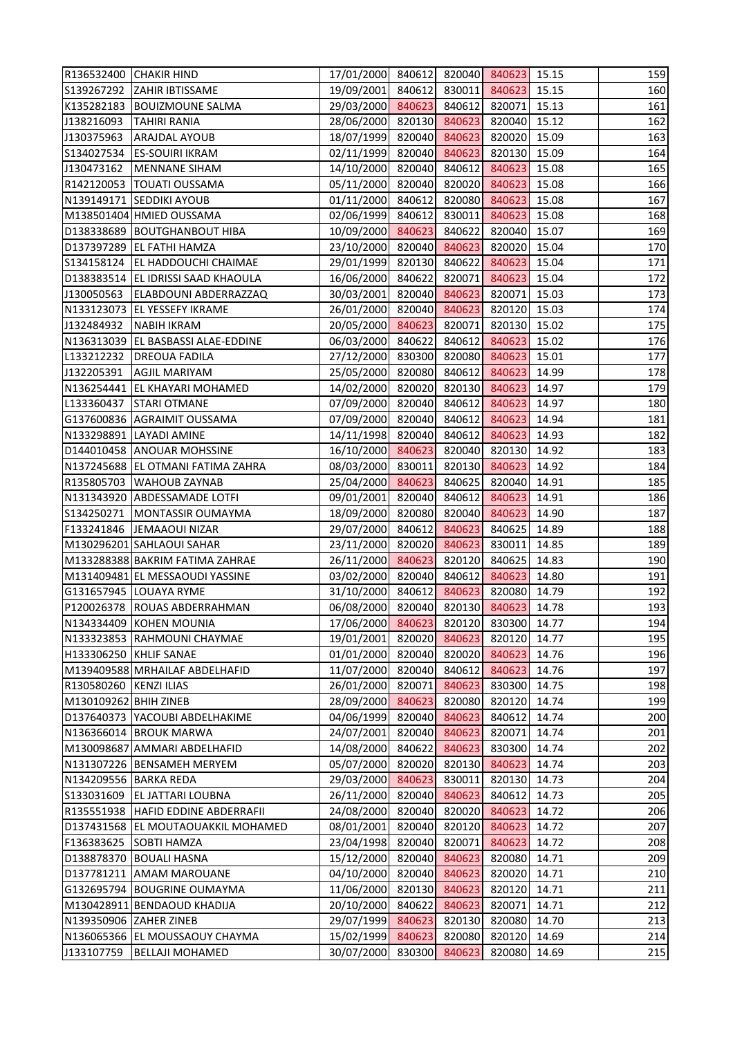| R136532400 CHAKIR HIND |                                    | 17/01/2000 840612 820040 840623 15.15 |        |        |               |       | 159 |
|------------------------|------------------------------------|---------------------------------------|--------|--------|---------------|-------|-----|
|                        | S139267292 ZAHIR IBTISSAME         | 19/09/2001 840612 830011              |        |        | 840623        | 15.15 | 160 |
|                        | K135282183  BOUIZMOUNE SALMA       | 29/03/2000 840623                     |        | 840612 | 820071        | 15.13 | 161 |
| J138216093             | <b>TAHIRI RANIA</b>                | 28/06/2000 820130 840623              |        |        | 820040        | 15.12 | 162 |
| J130375963             | <b>ARAJDAL AYOUB</b>               | 18/07/1999 820040 840623              |        |        | 820020 15.09  |       | 163 |
| S134027534             | <b>ES-SOUIRI IKRAM</b>             | 02/11/1999 820040                     |        | 840623 | 820130        | 15.09 | 164 |
| J130473162             | MENNANE SIHAM                      | 14/10/2000 820040                     |        | 840612 | 840623        | 15.08 | 165 |
|                        | R142120053  TOUATI OUSSAMA         | 05/11/2000 820040                     |        | 820020 | 840623        | 15.08 | 166 |
|                        | N139149171 SEDDIKI AYOUB           | 01/11/2000 840612                     |        | 820080 | 840623        | 15.08 | 167 |
|                        | M138501404 HMIED OUSSAMA           | 02/06/1999 840612                     |        | 830011 | 840623        | 15.08 | 168 |
|                        | D138338689 BOUTGHANBOUT HIBA       | 10/09/2000 840623                     |        | 840622 | 820040        | 15.07 | 169 |
|                        | D137397289 EL FATHI HAMZA          | 23/10/2000 820040 840623              |        |        | 820020        | 15.04 | 170 |
|                        | S134158124 EL HADDOUCHI CHAIMAE    | 29/01/1999 820130                     |        | 840622 | 840623        | 15.04 | 171 |
|                        | D138383514 EL IDRISSI SAAD KHAOULA | 16/06/2000 840622                     |        | 820071 | 840623        | 15.04 | 172 |
|                        | J130050563 ELABDOUNI ABDERRAZZAQ   | 30/03/2001 820040 840623              |        |        | 820071        | 15.03 | 173 |
|                        | N133123073 EL YESSEFY IKRAME       | 26/01/2000 820040 840623              |        |        | 820120        | 15.03 | 174 |
| J132484932             | NABIH IKRAM                        | 20/05/2000 840623 820071              |        |        | 820130 15.02  |       | 175 |
|                        | N136313039 EL BASBASSI ALAE-EDDINE | 06/03/2000 840622                     |        | 840612 | 840623        | 15.02 | 176 |
| L133212232             | <b>DREOUA FADILA</b>               | 27/12/2000 830300                     |        | 820080 | 840623        | 15.01 | 177 |
| J132205391             | <b>AGJIL MARIYAM</b>               | 25/05/2000 820080                     |        | 840612 | 840623        | 14.99 | 178 |
|                        | N136254441 EL KHAYARI MOHAMED      | 14/02/2000 820020                     |        |        | 820130 840623 | 14.97 | 179 |
| L133360437             | <b>STARI OTMANE</b>                | 07/09/2000 820040                     |        | 840612 | 840623        | 14.97 | 180 |
|                        | G137600836 AGRAIMIT OUSSAMA        | 07/09/2000 820040                     |        | 840612 | 840623        | 14.94 | 181 |
|                        | N133298891 LAYADI AMINE            | 14/11/1998 820040                     |        | 840612 | 840623        | 14.93 | 182 |
|                        | D144010458 ANOUAR MOHSSINE         | 16/10/2000 840623                     |        | 820040 | 820130        | 14.92 | 183 |
|                        | N137245688 EL OTMANI FATIMA ZAHRA  | 08/03/2000 830011                     |        | 820130 | 840623        | 14.92 | 184 |
|                        | R135805703   WAHOUB ZAYNAB         | 25/04/2000 840623                     |        | 840625 | 820040        | 14.91 | 185 |
|                        | N131343920 ABDESSAMADE LOTFI       | 09/01/2001 820040                     |        | 840612 | 840623        | 14.91 | 186 |
|                        | S134250271   MONTASSIR OUMAYMA     | 18/09/2000 820080 820040              |        |        | 840623        | 14.90 | 187 |
|                        | F133241846 JEMAAOUI NIZAR          | 29/07/2000 840612                     |        | 840623 | 840625        | 14.89 | 188 |
|                        | M130296201 SAHLAOUI SAHAR          | 23/11/2000 820020 840623              |        |        | 830011        | 14.85 | 189 |
|                        | M133288388 BAKRIM FATIMA ZAHRAE    | 26/11/2000 840623                     |        |        | 820120 840625 | 14.83 | 190 |
|                        | M131409481 EL MESSAOUDI YASSINE    | 03/02/2000 820040                     |        | 840612 | 840623        | 14.80 | 191 |
|                        | G131657945 LOUAYA RYME             | 31/10/2000 840612                     |        | 840623 | 820080        | 14.79 | 192 |
|                        | P120026378 ROUAS ABDERRAHMAN       | 06/08/2000 820040                     |        | 820130 | 840623        | 14.78 | 193 |
|                        | N134334409 KOHEN MOUNIA            | 17/06/2000                            | 840623 | 820120 | 830300        | 14.77 | 194 |
|                        | N133323853 RAHMOUNI CHAYMAE        | 19/01/2001                            | 820020 | 840623 | 820120        | 14.77 | 195 |
| H133306250 KHLIF SANAE |                                    | 01/01/2000 820040                     |        | 820020 | 840623        | 14.76 | 196 |
|                        | M139409588 MRHAILAF ABDELHAFID     | 11/07/2000 820040                     |        | 840612 | 840623        | 14.76 | 197 |
| R130580260 KENZI ILIAS |                                    | 26/01/2000                            | 820071 | 840623 | 830300        | 14.75 | 198 |
| M130109262 BHIH ZINEB  |                                    | 28/09/2000 840623                     |        | 820080 | 820120        | 14.74 | 199 |
|                        | D137640373 YACOUBI ABDELHAKIME     | 04/06/1999 820040                     |        | 840623 | 840612        | 14.74 | 200 |
|                        | N136366014 BROUK MARWA             | 24/07/2001                            | 820040 | 840623 | 820071        | 14.74 | 201 |
|                        | M130098687 AMMARI ABDELHAFID       | 14/08/2000 840622                     |        | 840623 | 830300        | 14.74 | 202 |
|                        | N131307226 BENSAMEH MERYEM         | 05/07/2000                            | 820020 | 820130 | 840623        | 14.74 | 203 |
| N134209556 BARKA REDA  |                                    | 29/03/2000 840623                     |        | 830011 | 820130        | 14.73 | 204 |
|                        | S133031609 EL JATTARI LOUBNA       | 26/11/2000 820040                     |        | 840623 | 840612        | 14.73 | 205 |
| R135551938             | <b>HAFID EDDINE ABDERRAFII</b>     | 24/08/2000                            | 820040 | 820020 | 840623        | 14.72 | 206 |
|                        | D137431568 EL MOUTAOUAKKIL MOHAMED | 08/01/2001                            | 820040 | 820120 | 840623        | 14.72 | 207 |
| F136383625             | <b>SOBTI HAMZA</b>                 | 23/04/1998                            | 820040 | 820071 | 840623        | 14.72 | 208 |
|                        | D138878370 BOUALI HASNA            | 15/12/2000 820040                     |        | 840623 | 820080        | 14.71 | 209 |
|                        | D137781211 AMAM MAROUANE           | 04/10/2000                            | 820040 | 840623 | 820020        | 14.71 | 210 |
|                        | G132695794 BOUGRINE OUMAYMA        | 11/06/2000                            | 820130 | 840623 | 820120        | 14.71 | 211 |
|                        | M130428911 BENDAOUD KHADIJA        | 20/10/2000                            | 840622 | 840623 | 820071        | 14.71 | 212 |
| N139350906 ZAHER ZINEB |                                    | 29/07/1999                            | 840623 | 820130 | 820080        | 14.70 | 213 |
|                        | N136065366 EL MOUSSAOUY CHAYMA     | 15/02/1999 840623                     |        | 820080 | 820120        | 14.69 | 214 |
| J133107759             | <b>BELLAJI MOHAMED</b>             | 30/07/2000                            | 830300 | 840623 | 820080        | 14.69 | 215 |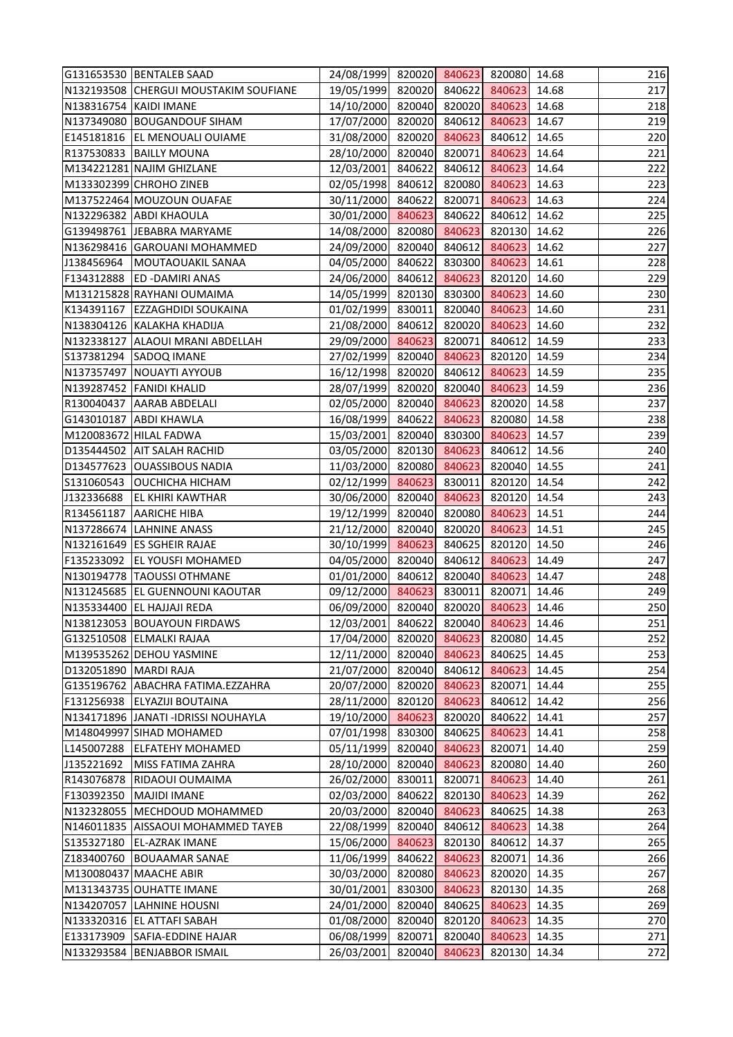|                         | G131653530 BENTALEB SAAD              | 24/08/1999 820020 840623 820080 14.68 |        |        |        |       | 216 |
|-------------------------|---------------------------------------|---------------------------------------|--------|--------|--------|-------|-----|
|                         | N132193508 CHERGUI MOUSTAKIM SOUFIANE | 19/05/1999 820020 840622 840623       |        |        |        | 14.68 | 217 |
| N138316754 KAIDI IMANE  |                                       | 14/10/2000 820040 820020              |        |        | 840623 | 14.68 | 218 |
|                         | N137349080 BOUGANDOUF SIHAM           | 17/07/2000 820020 840612              |        |        | 840623 | 14.67 | 219 |
|                         | E145181816 EL MENOUALI OUIAME         | 31/08/2000 820020 840623 840612       |        |        |        | 14.65 | 220 |
|                         | R137530833 BAILLY MOUNA               | 28/10/2000 820040 820071              |        |        | 840623 | 14.64 | 221 |
|                         | M134221281 NAJIM GHIZLANE             | 12/03/2001 840622 840612              |        |        | 840623 | 14.64 | 222 |
|                         | M133302399 CHROHO ZINEB               | 02/05/1998 840612                     |        | 820080 | 840623 | 14.63 | 223 |
|                         | M137522464 MOUZOUN OUAFAE             | 30/11/2000 840622                     |        | 820071 | 840623 | 14.63 | 224 |
|                         | N132296382 ABDI KHAOULA               | 30/01/2000 840623 840622              |        |        | 840612 | 14.62 | 225 |
|                         | G139498761 JEBABRA MARYAME            | 14/08/2000 820080 840623 820130       |        |        |        | 14.62 | 226 |
|                         | N136298416 GAROUANI MOHAMMED          | 24/09/2000 820040 840612 840623       |        |        |        | 14.62 | 227 |
| J138456964              | MOUTAOUAKIL SANAA                     | 04/05/2000 840622                     |        | 830300 | 840623 | 14.61 | 228 |
|                         | F134312888 ED-DAMIRI ANAS             | 24/06/2000 840612                     |        | 840623 | 820120 | 14.60 | 229 |
|                         | M131215828 RAYHANI OUMAIMA            | 14/05/1999 820130 830300 840623       |        |        |        | 14.60 | 230 |
|                         | K134391167 EZZAGHDIDI SOUKAINA        | 01/02/1999 830011 820040 840623       |        |        |        | 14.60 | 231 |
|                         | N138304126 KALAKHA KHADIJA            | 21/08/2000 840612 820020 840623       |        |        |        | 14.60 | 232 |
|                         | N132338127 ALAOUI MRANI ABDELLAH      | 29/09/2000 840623                     |        | 820071 | 840612 | 14.59 | 233 |
|                         | S137381294 SADOQ IMANE                | 27/02/1999 820040 840623              |        |        | 820120 | 14.59 | 234 |
|                         | N137357497 NOUAYTI AYYOUB             | 16/12/1998 820020 840612              |        |        | 840623 | 14.59 | 235 |
|                         | N139287452 FANIDI KHALID              | 28/07/1999 820020 820040 840623       |        |        |        | 14.59 | 236 |
|                         | R130040437 AARAB ABDELALI             | 02/05/2000 820040 840623              |        |        | 820020 | 14.58 | 237 |
|                         | G143010187 ABDI KHAWLA                | 16/08/1999 840622 840623              |        |        | 820080 | 14.58 | 238 |
|                         | M120083672 HILAL FADWA                | 15/03/2001 820040 830300 840623       |        |        |        | 14.57 | 239 |
|                         | D135444502 AIT SALAH RACHID           | 03/05/2000 820130 840623              |        |        | 840612 | 14.56 | 240 |
|                         | D134577623 OUASSIBOUS NADIA           | 11/03/2000 820080 840623              |        |        | 820040 | 14.55 | 241 |
| S131060543              | OUCHICHA HICHAM                       | 02/12/1999 840623                     |        | 830011 | 820120 | 14.54 | 242 |
| J132336688              | <b>EL KHIRI KAWTHAR</b>               | 30/06/2000 820040 840623              |        |        | 820120 | 14.54 | 243 |
|                         | R134561187 AARICHE HIBA               | 19/12/1999 820040 820080              |        |        | 840623 | 14.51 | 244 |
|                         | N137286674 LAHNINE ANASS              | 21/12/2000 820040                     |        | 820020 | 840623 | 14.51 | 245 |
|                         | N132161649 ES SGHEIR RAJAE            | 30/10/1999 840623 840625 820120       |        |        |        | 14.50 | 246 |
|                         | F135233092 EL YOUSFI MOHAMED          | 04/05/2000 820040 840612 840623       |        |        |        | 14.49 | 247 |
|                         | N130194778 TAOUSSI OTHMANE            | 01/01/2000 840612                     |        | 820040 | 840623 | 14.47 | 248 |
|                         | N131245685 EL GUENNOUNI KAOUTAR       | 09/12/2000 840623                     |        | 830011 | 820071 | 14.46 | 249 |
|                         | N135334400 EL HAJJAJI REDA            | 06/09/2000 820040                     |        | 820020 | 840623 | 14.46 | 250 |
|                         | N138123053 BOUAYOUN FIRDAWS           | 12/03/2001                            | 840622 | 820040 | 840623 | 14.46 | 251 |
|                         | G132510508 ELMALKI RAJAA              | 17/04/2000 820020                     |        | 840623 | 820080 | 14.45 | 252 |
|                         | M139535262 DEHOU YASMINE              | 12/11/2000 820040                     |        | 840623 | 840625 | 14.45 | 253 |
| D132051890   MARDI RAJA |                                       | 21/07/2000 820040                     |        | 840612 | 840623 | 14.45 | 254 |
|                         | G135196762 ABACHRA FATIMA.EZZAHRA     | 20/07/2000 820020                     |        | 840623 | 820071 | 14.44 | 255 |
|                         | F131256938 ELYAZIJI BOUTAINA          | 28/11/2000 820120                     |        | 840623 | 840612 | 14.42 | 256 |
|                         | N134171896 JANATI -IDRISSI NOUHAYLA   | 19/10/2000 840623                     |        | 820020 | 840622 | 14.41 | 257 |
|                         | M148049997 SIHAD MOHAMED              | 07/01/1998 830300                     |        | 840625 | 840623 | 14.41 | 258 |
| L145007288              | <b>ELFATEHY MOHAMED</b>               | 05/11/1999 820040                     |        | 840623 | 820071 | 14.40 | 259 |
| J135221692              | <b>MISS FATIMA ZAHRA</b>              | 28/10/2000 820040                     |        | 840623 | 820080 | 14.40 | 260 |
| R143076878              | <b>RIDAOUI OUMAIMA</b>                | 26/02/2000 830011                     |        | 820071 | 840623 | 14.40 | 261 |
| F130392350              | MAJIDI IMANE                          | 02/03/2000 840622                     |        | 820130 | 840623 | 14.39 | 262 |
|                         | N132328055 MECHDOUD MOHAMMED          | 20/03/2000 820040                     |        | 840623 | 840625 | 14.38 | 263 |
|                         | N146011835 AISSAOUI MOHAMMED TAYEB    | 22/08/1999 820040                     |        | 840612 | 840623 | 14.38 | 264 |
| S135327180              | <b>EL-AZRAK IMANE</b>                 | 15/06/2000 840623                     |        | 820130 | 840612 | 14.37 | 265 |
|                         | Z183400760 BOUAAMAR SANAE             | 11/06/1999 840622                     |        | 840623 | 820071 | 14.36 | 266 |
|                         | M130080437 MAACHE ABIR                | 30/03/2000 820080                     |        | 840623 | 820020 | 14.35 | 267 |
|                         | M131343735 OUHATTE IMANE              | 30/01/2001                            | 830300 | 840623 | 820130 | 14.35 | 268 |
|                         | N134207057 LAHNINE HOUSNI             | 24/01/2000 820040                     |        | 840625 | 840623 | 14.35 | 269 |
|                         | N133320316 EL ATTAFI SABAH            | 01/08/2000 820040                     |        | 820120 | 840623 | 14.35 | 270 |
|                         | E133173909 SAFIA-EDDINE HAJAR         | 06/08/1999 820071                     |        | 820040 | 840623 | 14.35 | 271 |
|                         | N133293584 BENJABBOR ISMAIL           | 26/03/2001                            | 820040 | 840623 | 820130 | 14.34 | 272 |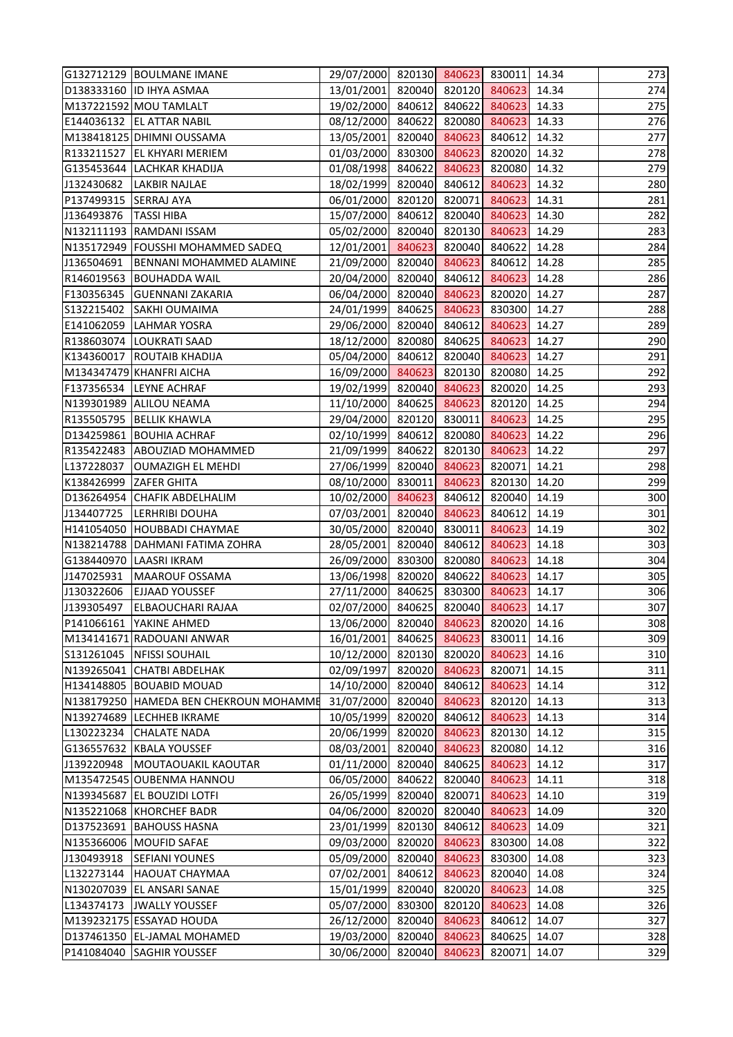|                        | G132712129 BOULMANE IMANE                         | 29/07/2000 820130 840623 830011 14.34 |        |                  |                  |                | 273        |
|------------------------|---------------------------------------------------|---------------------------------------|--------|------------------|------------------|----------------|------------|
|                        | D138333160  ID IHYA ASMAA                         | 13/01/2001 820040 820120 840623       |        |                  |                  | 14.34          | 274        |
|                        | M137221592 MOU TAMLALT                            | 19/02/2000 840612 840622 840623       |        |                  |                  | 14.33          | 275        |
|                        | E144036132 EL ATTAR NABIL                         | 08/12/2000 840622 820080              |        |                  | 840623           | 14.33          | 276        |
|                        | M138418125 DHIMNI OUSSAMA                         | 13/05/2001 820040 840623 840612       |        |                  |                  | 14.32          | 277        |
|                        | R133211527 EL KHYARI MERIEM                       | 01/03/2000 830300 840623              |        |                  | 820020           | 14.32          | 278        |
|                        | G135453644 LACHKAR KHADIJA                        | 01/08/1998 840622 840623 820080       |        |                  |                  | 14.32          | 279        |
| J132430682             | <b>LAKBIR NAJLAE</b>                              | 18/02/1999 820040 840612              |        |                  | 840623           | 14.32          | 280        |
| P137499315 SERRAJ AYA  |                                                   | 06/01/2000 820120 820071              |        |                  | 840623           | 14.31          | 281        |
| J136493876             | <b>TASSI HIBA</b>                                 | 15/07/2000 840612 820040 840623       |        |                  |                  | 14.30          | 282        |
|                        | N132111193 RAMDANI ISSAM                          | 05/02/2000 820040 820130              |        |                  | 840623           | 14.29          | 283        |
|                        | N135172949 FOUSSHI MOHAMMED SADEQ                 | 12/01/2001 840623 820040 840622       |        |                  |                  | 14.28          | 284        |
| J136504691             | BENNANI MOHAMMED ALAMINE                          | 21/09/2000 820040 840623              |        |                  | 840612           | 14.28          | 285        |
| R146019563             | <b>BOUHADDA WAIL</b>                              | 20/04/2000 820040 840612              |        |                  | 840623           | 14.28          | 286        |
|                        | F130356345 GUENNANI ZAKARIA                       | 06/04/2000 820040 840623 820020 14.27 |        |                  |                  |                | 287        |
|                        | S132215402 SAKHI OUMAIMA                          | 24/01/1999 840625 840623              |        |                  | 830300 14.27     |                | 288        |
|                        | E141062059 LAHMAR YOSRA                           | 29/06/2000 820040 840612              |        |                  | 840623           | 14.27          | 289        |
|                        | R138603074 LOUKRATI SAAD                          | 18/12/2000 820080                     |        | 840625           | 840623           | 14.27          | 290        |
|                        | K134360017 ROUTAIB KHADIJA                        | 05/04/2000 840612                     |        | 820040           | 840623           | 14.27          | 291        |
|                        | M134347479 KHANFRI AICHA                          | 16/09/2000 840623 820130 820080 14.25 |        |                  |                  |                | 292        |
|                        | F137356534 LEYNE ACHRAF                           | 19/02/1999 820040 840623 820020 14.25 |        |                  |                  |                | 293        |
|                        | N139301989 ALILOU NEAMA                           | 11/10/2000 840625 840623 820120 14.25 |        |                  |                  |                | 294        |
|                        | R135505795 BELLIK KHAWLA                          | 29/04/2000 820120                     |        | 830011           | 840623           | 14.25          | 295        |
|                        | D134259861 BOUHIA ACHRAF                          | 02/10/1999 840612                     |        | 820080           | 840623           | 14.22          | 296        |
|                        | R135422483 ABOUZIAD MOHAMMED                      | 21/09/1999 840622                     |        | 820130           | 840623           | 14.22          | 297        |
| L137228037             | OUMAZIGH EL MEHDI                                 | 27/06/1999 820040                     |        | 840623           | 820071           | 14.21          | 298        |
| K138426999 ZAFER GHITA |                                                   | 08/10/2000 830011                     |        | 840623           | 820130           | 14.20          | 299        |
|                        | D136264954 CHAFIK ABDELHALIM                      | 10/02/2000 840623                     |        | 840612           | 820040           | 14.19          | 300        |
| J134407725             | <b>LERHRIBI DOUHA</b>                             | 07/03/2001 820040 840623              |        |                  | 840612           | 14.19          | 301        |
|                        | H141054050 HOUBBADI CHAYMAE                       | 30/05/2000 820040 830011              |        |                  | 840623           | 14.19          | 302        |
|                        | N138214788 DAHMANI FATIMA ZOHRA                   | 28/05/2001 820040 840612              |        |                  | 840623           | 14.18          | 303        |
|                        | G138440970 LAASRI IKRAM                           | 26/09/2000 830300 820080 840623       |        |                  |                  | 14.18          | 304        |
| J147025931             | <b>MAAROUF OSSAMA</b>                             | 13/06/1998 820020                     |        | 840622           | 840623           | 14.17          | 305        |
| J130322606             | <b>EJJAAD YOUSSEF</b>                             | 27/11/2000 840625                     |        | 830300           | 840623           | 14.17          | 306        |
| J139305497             | ELBAOUCHARI RAJAA                                 | 02/07/2000 840625                     |        | 820040           | 840623           | 14.17          | 307        |
| P141066161             | YAKINE AHMED                                      | 13/06/2000                            | 820040 | 840623           | 820020           | 14.16          | 308        |
|                        | M134141671 RADOUANI ANWAR                         | 16/01/2001 840625                     |        | 840623           | 830011           | 14.16          | 309        |
| S131261045             | <b>NFISSI SOUHAIL</b>                             | 10/12/2000 820130                     |        | 820020           | 840623           | 14.16          | 310        |
|                        | N139265041 CHATBI ABDELHAK                        | 02/09/1997                            | 820020 | 840623           | 820071           | 14.15          | 311        |
|                        | H134148805 BOUABID MOUAD                          | 14/10/2000                            | 820040 | 840612           | 840623           | 14.14          | 312        |
| N138179250             | <b>HAMEDA BEN CHEKROUN MOHAMME</b>                | 31/07/2000                            | 820040 | 840623           | 820120           | 14.13          | 313        |
|                        | N139274689 LECHHEB IKRAME                         | 10/05/1999 820020                     |        | 840612           | 840623           | 14.13          | 314        |
| L130223234             | <b>CHALATE NADA</b>                               | 20/06/1999 820020                     |        | 840623           | 820130           | 14.12          | 315        |
|                        | G136557632 KBALA YOUSSEF                          | 08/03/2001 820040                     |        | 840623           | 820080           | 14.12          | 316        |
| J139220948             | MOUTAOUAKIL KAOUTAR                               | 01/11/2000                            | 820040 | 840625           | 840623           | 14.12          | 317        |
|                        | M135472545 OUBENMA HANNOU                         | 06/05/2000                            | 840622 | 820040           | 840623           | 14.11          | 318        |
|                        | N139345687 EL BOUZIDI LOTFI                       | 26/05/1999 820040                     |        | 820071           | 840623           | 14.10          | 319        |
|                        | N135221068 KHORCHEF BADR                          | 04/06/2000 820020                     |        | 820040           | 840623           | 14.09          | 320        |
|                        | D137523691 BAHOUSS HASNA                          | 23/01/1999 820130                     |        | 840612           | 840623           | 14.09          | 321        |
|                        | N135366006   MOUFID SAFAE                         | 09/03/2000                            | 820020 | 840623           | 830300           | 14.08          | 322        |
| J130493918             | <b>SEFIANI YOUNES</b>                             | 05/09/2000                            | 820040 | 840623           | 830300           | 14.08          | 323        |
| L132273144             | <b>HAOUAT CHAYMAA</b>                             | 07/02/2001                            | 840612 | 840623           | 820040           | 14.08          | 324        |
|                        | N130207039 EL ANSARI SANAE                        | 15/01/1999 820040                     |        | 820020           | 840623           | 14.08          | 325        |
| L134374173             | <b>JWALLY YOUSSEF</b><br>M139232175 ESSAYAD HOUDA | 05/07/2000 830300                     |        | 820120<br>840623 | 840623           | 14.08          | 326<br>327 |
|                        | D137461350 EL-JAMAL MOHAMED                       | 26/12/2000<br>19/03/2000 820040       | 820040 | 840623           | 840612<br>840625 | 14.07<br>14.07 | 328        |
| P141084040             | <b>SAGHIR YOUSSEF</b>                             | 30/06/2000                            | 820040 | 840623           | 820071           | 14.07          | 329        |
|                        |                                                   |                                       |        |                  |                  |                |            |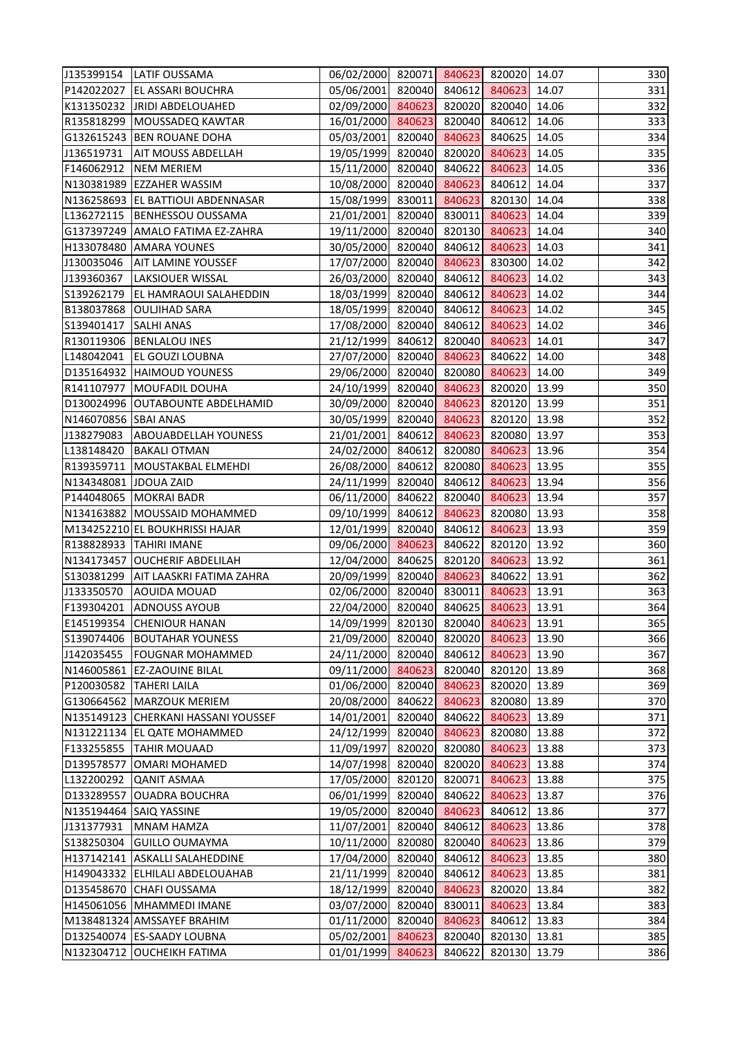|                          | J135399154  LATIF OUSSAMA                                          | 06/02/2000 820071 840623        |        |                  | 820020 14.07     |                | 330        |
|--------------------------|--------------------------------------------------------------------|---------------------------------|--------|------------------|------------------|----------------|------------|
|                          | P142022027 EL ASSARI BOUCHRA                                       | 05/06/2001 820040               |        | 840612           | 840623           | 14.07          | 331        |
|                          | K131350232 JRIDI ABDELOUAHED                                       | 02/09/2000 840623               |        | 820020           | 820040           | 14.06          | 332        |
| R135818299               | MOUSSADEQ KAWTAR                                                   | 16/01/2000 840623               |        | 820040           | 840612           | 14.06          | 333        |
|                          | G132615243  BEN ROUANE DOHA                                        | 05/03/2001 820040 840623        |        |                  | 840625           | 14.05          | 334        |
| J136519731               | <b>AIT MOUSS ABDELLAH</b>                                          | 19/05/1999 820040               |        | 820020           | 840623           | 14.05          | 335        |
| F146062912               | NEM MERIEM                                                         | 15/11/2000 820040               |        | 840622           | 840623           | 14.05          | 336        |
|                          | N130381989 EZZAHER WASSIM                                          | 10/08/2000 820040               |        | 840623           | 840612           | 14.04          | 337        |
|                          | N136258693 EL BATTIOUI ABDENNASAR                                  | 15/08/1999 830011               |        | 840623           | 820130           | 14.04          | 338        |
|                          | L136272115 BENHESSOU OUSSAMA                                       | 21/01/2001 820040 830011        |        |                  | 840623           | 14.04          | 339        |
|                          | G137397249  AMALO FATIMA EZ-ZAHRA                                  | 19/11/2000 820040               |        | 820130           | 840623           | 14.04          | 340        |
|                          | H133078480 AMARA YOUNES                                            | 30/05/2000 820040               |        | 840612           | 840623           | 14.03          | 341        |
| J130035046               | <b>AIT LAMINE YOUSSEF</b>                                          | 17/07/2000 820040               |        | 840623           | 830300           | 14.02          | 342        |
| J139360367               | LAKSIOUER WISSAL                                                   | 26/03/2000 820040               |        | 840612           | 840623           | 14.02          | 343        |
| S139262179               | <b>EL HAMRAOUI SALAHEDDIN</b>                                      | 18/03/1999 820040               |        | 840612           | 840623           | 14.02          | 344        |
|                          | B138037868 OULJIHAD SARA                                           | 18/05/1999 820040               |        | 840612           | 840623           | 14.02          | 345        |
| S139401417               | <b>SALHI ANAS</b>                                                  | 17/08/2000 820040               |        | 840612           | 840623           | 14.02          | 346        |
|                          | R130119306 BENLALOU INES                                           | 21/12/1999 840612               |        | 820040           | 840623           | 14.01          | 347        |
| L148042041               | <b>EL GOUZI LOUBNA</b>                                             | 27/07/2000 820040               |        | 840623           | 840622           | 14.00          | 348        |
|                          | D135164932 HAIMOUD YOUNESS                                         | 29/06/2000 820040               |        | 820080           | 840623           | 14.00          | 349        |
|                          | R141107977 MOUFADIL DOUHA                                          | 24/10/1999 820040               |        | 840623           | 820020           | 13.99          | 350        |
|                          | D130024996 OUTABOUNTE ABDELHAMID                                   | 30/09/2000 820040               |        | 840623           | 820120           | 13.99          | 351        |
| N146070856 SBAI ANAS     |                                                                    | 30/05/1999 820040               |        | 840623           | 820120           | 13.98          | 352        |
| J138279083               | <b>ABOUABDELLAH YOUNESS</b>                                        | 21/01/2001 840612               |        | 840623           | 820080           | 13.97          | 353        |
| L138148420               | <b>BAKALI OTMAN</b>                                                | 24/02/2000 840612               |        | 820080           | 840623           | 13.96          | 354        |
| R139359711               | MOUSTAKBAL ELMEHDI                                                 | 26/08/2000 840612               |        | 820080           | 840623           | 13.95          | 355        |
| N134348081 JDOUA ZAID    |                                                                    | 24/11/1999 820040               |        | 840612           | 840623           | 13.94          | 356        |
|                          | P144048065 MOKRAI BADR                                             | 06/11/2000 840622               |        | 820040           | 840623           | 13.94          | 357        |
|                          | N134163882 MOUSSAID MOHAMMED                                       | 09/10/1999 840612               |        | 840623           | 820080           | 13.93          | 358        |
|                          | M134252210 EL BOUKHRISSI HAJAR                                     | 12/01/1999 820040               |        | 840612           | 840623           | 13.93          | 359        |
|                          | R138828933 TAHIRI IMANE                                            | 09/06/2000 840623               |        | 840622           | 820120           | 13.92          | 360        |
|                          | N134173457 OUCHERIF ABDELILAH                                      | 12/04/2000 840625 820120 840623 |        |                  |                  | 13.92          | 361        |
| S130381299               | AIT LAASKRI FATIMA ZAHRA                                           | 20/09/1999 820040               |        | 840623           | 840622           | 13.91          | 362        |
| J133350570               | AOUIDA MOUAD                                                       | 02/06/2000 820040               |        | 830011           | 840623           | 13.91          | 363        |
| F139304201               | <b>ADNOUSS AYOUB</b>                                               | 22/04/2000                      | 820040 | 840625           | 840623           | 13.91          | 364        |
| E145199354               | <b>CHENIOUR HANAN</b>                                              | 14/09/1999                      | 820130 | 820040           | 840623           | 13.91          | 365        |
| S139074406               | <b>BOUTAHAR YOUNESS</b>                                            | 21/09/2000 820040               |        | 820020           | 840623           | 13.90          | 366        |
| J142035455               | <b>FOUGNAR MOHAMMED</b>                                            | 24/11/2000 820040               |        | 840612           | 840623           | 13.90          | 367        |
|                          | N146005861 EZ-ZAOUINE BILAL                                        | 09/11/2000 840623               |        | 820040           | 820120           | 13.89          | 368        |
| P120030582               | <b>TAHERI LAILA</b>                                                | 01/06/2000                      | 820040 | 840623           | 820020           | 13.89          | 369        |
|                          | G130664562 MARZOUK MERIEM                                          | 20/08/2000                      | 840622 | 840623           | 820080           | 13.89          | 370        |
|                          | N135149123 CHERKANI HASSANI YOUSSEF<br>N131221134 EL QATE MOHAMMED | 14/01/2001 820040               | 820040 | 840622<br>840623 | 840623<br>820080 | 13.89<br>13.88 | 371<br>372 |
|                          |                                                                    | 24/12/1999<br>11/09/1997        | 820020 |                  | 840623           |                | 373        |
| F133255855<br>D139578577 | <b>TAHIR MOUAAD</b><br><b>OMARI MOHAMED</b>                        | 14/07/1998                      | 820040 | 820080<br>820020 | 840623           | 13.88<br>13.88 | 374        |
| L132200292               | <b>QANIT ASMAA</b>                                                 | 17/05/2000                      | 820120 | 820071           | 840623           | 13.88          | 375        |
| D133289557               | <b>OUADRA BOUCHRA</b>                                              | 06/01/1999 820040               |        | 840622           | 840623           | 13.87          | 376        |
|                          | N135194464 SAIQ YASSINE                                            | 19/05/2000 820040               |        | 840623           | 840612           | 13.86          | 377        |
| J131377931               | <b>MNAM HAMZA</b>                                                  | 11/07/2001                      | 820040 | 840612           | 840623           | 13.86          | 378        |
| S138250304               | <b>GUILLO OUMAYMA</b>                                              | 10/11/2000                      | 820080 | 820040           | 840623           | 13.86          | 379        |
|                          | H137142141 ASKALLI SALAHEDDINE                                     | 17/04/2000 820040               |        | 840612           | 840623           | 13.85          | 380        |
|                          | H149043332 ELHILALI ABDELOUAHAB                                    | 21/11/1999 820040               |        | 840612           | 840623           | 13.85          | 381        |
| D135458670               | <b>CHAFI OUSSAMA</b>                                               | 18/12/1999                      | 820040 | 840623           | 820020           | 13.84          | 382        |
|                          | H145061056   MHAMMEDI IMANE                                        | 03/07/2000                      | 820040 | 830011           | 840623           | 13.84          | 383        |
|                          | M138481324 AMSSAYEF BRAHIM                                         | 01/11/2000                      | 820040 | 840623           | 840612           | 13.83          | 384        |
|                          | D132540074 ES-SAADY LOUBNA                                         | 05/02/2001 840623               |        | 820040           | 820130           | 13.81          | 385        |
|                          | N132304712 OUCHEIKH FATIMA                                         | 01/01/1999                      | 840623 | 840622           | 820130           | 13.79          | 386        |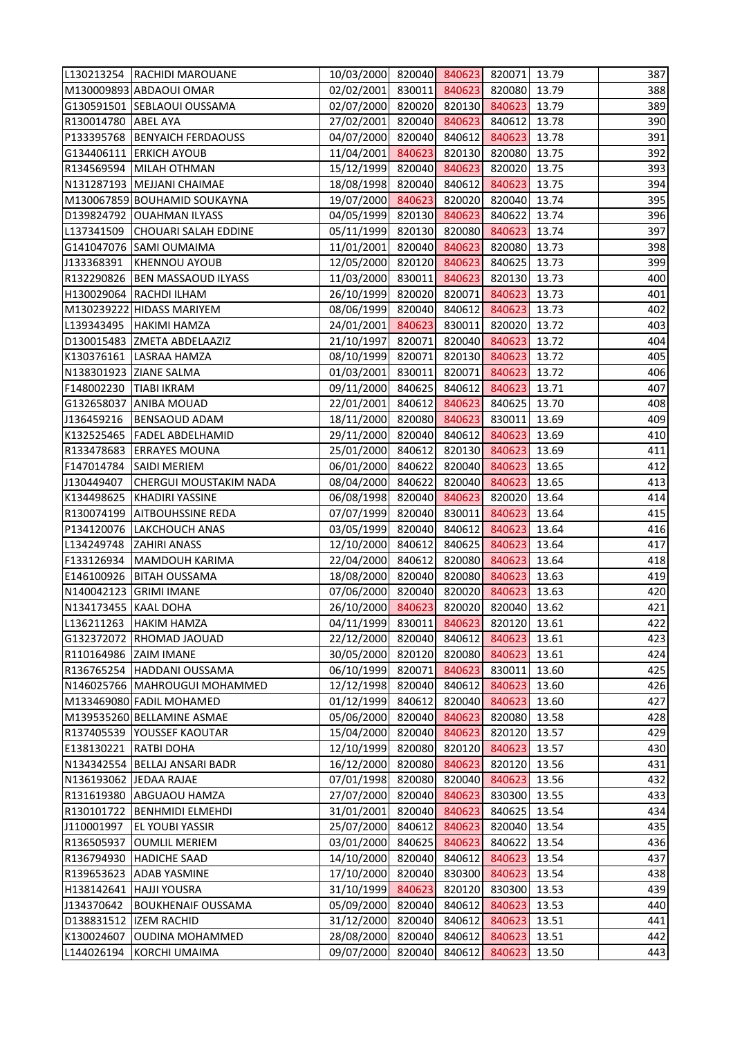|                          | L130213254 RACHIDI MAROUANE                 | 10/03/2000 820040 840623 820071 13.79 |        |                  |                  |                | 387        |
|--------------------------|---------------------------------------------|---------------------------------------|--------|------------------|------------------|----------------|------------|
|                          | M130009893 ABDAOUI OMAR                     | 02/02/2001 830011 840623              |        |                  | 820080 13.79     |                | 388        |
|                          | G130591501 SEBLAOUI OUSSAMA                 | 02/07/2000 820020 820130 840623       |        |                  |                  | 13.79          | 389        |
| R130014780 ABEL AYA      |                                             | 27/02/2001 820040                     |        | 840623           | 840612           | 13.78          | 390        |
|                          | P133395768 BENYAICH FERDAOUSS               | 04/07/2000 820040 840612              |        |                  | 840623           | 13.78          | 391        |
|                          | G134406111 ERKICH AYOUB                     | 11/04/2001 840623                     |        | 820130           | 820080 13.75     |                | 392        |
|                          | R134569594 MILAH OTHMAN                     | 15/12/1999 820040 840623              |        |                  | 820020 13.75     |                | 393        |
|                          | N131287193 MEJJANI CHAIMAE                  | 18/08/1998 820040                     |        | 840612           | 840623           | 13.75          | 394        |
|                          | M130067859 BOUHAMID SOUKAYNA                | 19/07/2000 840623                     |        | 820020           | 820040           | 13.74          | 395        |
|                          | D139824792 OUAHMAN ILYASS                   | 04/05/1999 820130 840623              |        |                  | 840622           | 13.74          | 396        |
|                          | L137341509 CHOUARI SALAH EDDINE             | 05/11/1999 820130 820080              |        |                  | 840623           | 13.74          | 397        |
|                          | G141047076 SAMI OUMAIMA                     | 11/01/2001 820040 840623              |        |                  | 820080           | 13.73          | 398        |
| J133368391               | <b>KHENNOU AYOUB</b>                        | 12/05/2000 820120 840623              |        |                  | 840625           | 13.73          | 399        |
|                          | R132290826 BEN MASSAOUD ILYASS              | 11/03/2000 830011                     |        | 840623           | 820130           | 13.73          | 400        |
|                          | H130029064 RACHDI ILHAM                     | 26/10/1999 820020 820071              |        |                  | 840623           | 13.73          | 401        |
|                          | M130239222 HIDASS MARIYEM                   | 08/06/1999 820040 840612              |        |                  | 840623           | 13.73          | 402        |
|                          | L139343495   HAKIMI HAMZA                   | 24/01/2001 840623                     |        | 830011           | 820020           | 13.72          | 403        |
|                          | D130015483 ZMETA ABDELAAZIZ                 | 21/10/1997 820071                     |        | 820040           | 840623           | 13.72          | 404        |
|                          | K130376161 LASRAA HAMZA                     | 08/10/1999 820071                     |        | 820130           | 840623           | 13.72          | 405        |
|                          | N138301923 ZIANE SALMA                      | 01/03/2001 830011                     |        | 820071           | 840623           | 13.72          | 406        |
| F148002230 TIABI IKRAM   |                                             | 09/11/2000 840625                     |        | 840612           | 840623           | 13.71          | 407        |
| G132658037               | <b>ANIBA MOUAD</b>                          | 22/01/2001 840612                     |        | 840623           | 840625           | 13.70          | 408        |
| J136459216               | <b>BENSAOUD ADAM</b>                        | 18/11/2000 820080                     |        | 840623           | 830011           | 13.69          | 409        |
|                          | K132525465   FADEL ABDELHAMID               | 29/11/2000 820040                     |        | 840612           | 840623           | 13.69          | 410        |
| R133478683               | <b>ERRAYES MOUNA</b>                        | 25/01/2000 840612 820130              |        |                  | 840623           | 13.69          | 411        |
| F147014784               | <b>SAIDI MERIEM</b>                         | 06/01/2000 840622                     |        | 820040           | 840623           | 13.65          | 412        |
| J130449407               | CHERGUI MOUSTAKIM NADA                      | 08/04/2000 840622                     |        | 820040           | 840623           | 13.65          | 413        |
| K134498625               | <b>KHADIRI YASSINE</b>                      | 06/08/1998 820040                     |        | 840623           | 820020           | 13.64          | 414        |
|                          | R130074199 AITBOUHSSINE REDA                | 07/07/1999 820040 830011              |        |                  | 840623           | 13.64          | 415        |
|                          | P134120076 LAKCHOUCH ANAS                   | 03/05/1999 820040                     |        | 840612           | 840623           | 13.64          | 416        |
|                          | L134249748 ZAHIRI ANASS                     | 12/10/2000 840612                     |        | 840625           | 840623           | 13.64          | 417        |
|                          | F133126934 MAMDOUH KARIMA                   | 22/04/2000 840612 820080 840623       |        |                  |                  | 13.64          | 418        |
|                          | E146100926   BITAH OUSSAMA                  | 18/08/2000 820040                     |        | 820080           | 840623           | 13.63          | 419        |
|                          | N140042123 GRIMI IMANE                      | 07/06/2000 820040                     |        | 820020           | 840623           | 13.63          | 420        |
| N134173455 KAAL DOHA     |                                             | 26/10/2000 840623                     |        | 820020           | 820040           | 13.62          | 421        |
| L136211263               | <b>HAKIM HAMZA</b>                          | 04/11/1999                            | 830011 | 840623           | 820120           | 13.61          | 422        |
| G132372072               | <b>RHOMAD JAOUAD</b>                        | 22/12/2000 820040                     |        | 840612           | 840623           | 13.61          | 423        |
| R110164986 ZAIM IMANE    |                                             | 30/05/2000 820120                     |        | 820080           | 840623           | 13.61          | 424        |
|                          | R136765254 HADDANI OUSSAMA                  | 06/10/1999 820071                     |        | 840623           | 830011           | 13.60          | 425        |
|                          | N146025766 MAHROUGUI MOHAMMED               | 12/12/1998                            | 820040 | 840612           | 840623           | 13.60          | 426        |
|                          | M133469080 FADIL MOHAMED                    | 01/12/1999                            | 840612 | 820040           | 840623           | 13.60          | 427        |
|                          | M139535260 BELLAMINE ASMAE                  | 05/06/2000 820040                     |        | 840623           | 820080           | 13.58          | 428        |
|                          | R137405539 YOUSSEF KAOUTAR                  | 15/04/2000 820040                     |        | 840623           | 820120           | 13.57          | 429        |
| E138130221 RATBI DOHA    |                                             | 12/10/1999 820080                     |        | 820120           | 840623           | 13.57          | 430        |
|                          | N134342554 BELLAJ ANSARI BADR               | 16/12/2000                            | 820080 | 840623           | 820120           | 13.56          | 431        |
| N136193062 JEDAA RAJAE   |                                             | 07/01/1998                            | 820080 | 820040           | 840623           | 13.56          | 432        |
|                          | R131619380 ABGUAOU HAMZA                    | 27/07/2000 820040                     |        | 840623           | 830300           | 13.55          | 433        |
| R130101722               | <b>BENHMIDI ELMEHDI</b>                     | 31/01/2001 820040                     |        | 840623           | 840625           | 13.54          | 434        |
| J110001997<br>R136505937 | <b>EL YOUBI YASSIR</b>                      | 25/07/2000 840612                     |        | 840623           | 820040           | 13.54          | 435<br>436 |
| R136794930               | <b>OUMLIL MERIEM</b><br><b>HADICHE SAAD</b> | 03/01/2000<br>14/10/2000 820040       | 840625 | 840623<br>840612 | 840622<br>840623 | 13.54<br>13.54 | 437        |
| R139653623               | <b>ADAB YASMINE</b>                         | 17/10/2000 820040                     |        | 830300           | 840623           | 13.54          | 438        |
| H138142641               | <b>HAJJI YOUSRA</b>                         | 31/10/1999 840623                     |        | 820120           | 830300           | 13.53          | 439        |
| J134370642               | <b>BOUKHENAIF OUSSAMA</b>                   | 05/09/2000 820040                     |        | 840612           | 840623           | 13.53          | 440        |
| D138831512               | <b>IZEM RACHID</b>                          | 31/12/2000                            | 820040 | 840612           | 840623           | 13.51          | 441        |
| K130024607               | OUDINA MOHAMMED                             | 28/08/2000 820040                     |        | 840612           | 840623           | 13.51          | 442        |
| L144026194               | <b>KORCHI UMAIMA</b>                        | 09/07/2000                            | 820040 | 840612           | 840623           | 13.50          | 443        |
|                          |                                             |                                       |        |                  |                  |                |            |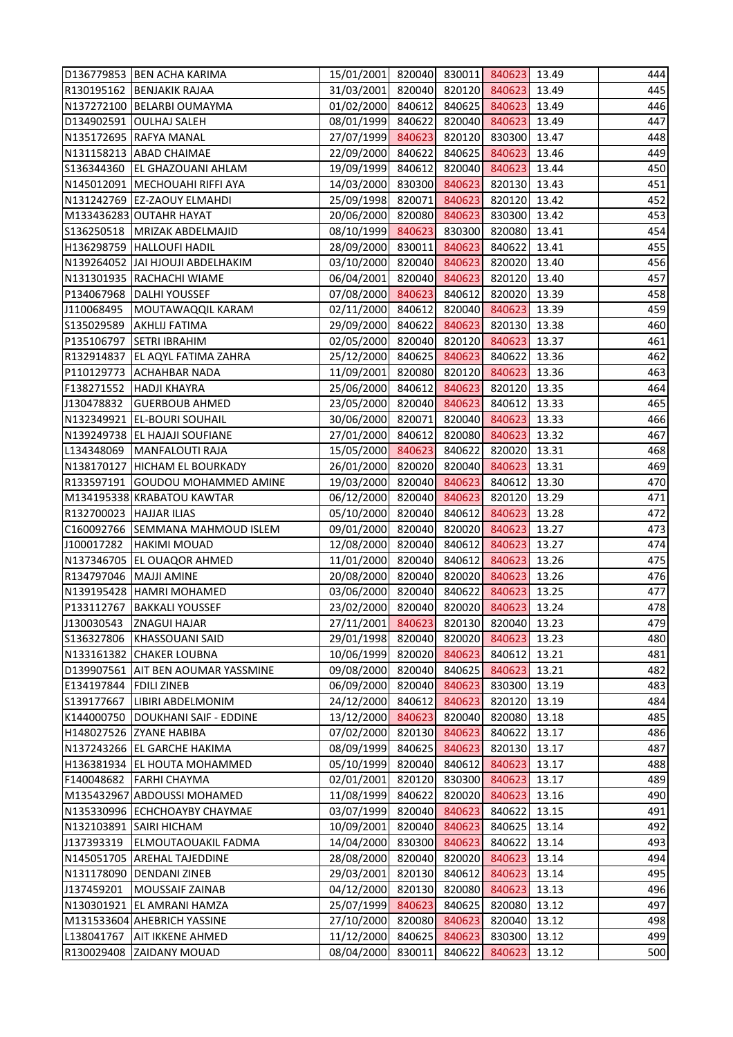|                          | D136779853 BEN ACHA KARIMA         | 15/01/2001 820040 830011 840623 13.49 |        |        |                     |       | 444 |
|--------------------------|------------------------------------|---------------------------------------|--------|--------|---------------------|-------|-----|
|                          | R130195162 BENJAKIK RAJAA          | 31/03/2001 820040 820120 840623       |        |        |                     | 13.49 | 445 |
|                          | N137272100 BELARBI OUMAYMA         | 01/02/2000 840612                     |        |        | 840625 840623       | 13.49 | 446 |
|                          | D134902591 OULHAJ SALEH            | 08/01/1999 840622 820040              |        |        | 840623              | 13.49 | 447 |
|                          | N135172695 RAFYA MANAL             | 27/07/1999 840623 820120 830300 13.47 |        |        |                     |       | 448 |
|                          | N131158213 ABAD CHAIMAE            | 22/09/2000 840622 840625              |        |        | 840623              | 13.46 | 449 |
|                          | S136344360 EL GHAZOUANI AHLAM      | 19/09/1999 840612 820040 840623       |        |        |                     | 13.44 | 450 |
|                          | N145012091   MECHOUAHI RIFFI AYA   | 14/03/2000 830300 840623              |        |        | 820130              | 13.43 | 451 |
|                          | N131242769 EZ-ZAOUY ELMAHDI        | 25/09/1998 820071                     |        | 840623 | 820120              | 13.42 | 452 |
|                          | M133436283 OUTAHR HAYAT            | 20/06/2000 820080 840623              |        |        | 830300 13.42        |       | 453 |
|                          | S136250518   MRIZAK ABDELMAJID     | 08/10/1999 840623                     |        | 830300 | 820080 13.41        |       | 454 |
|                          | H136298759 HALLOUFI HADIL          | 28/09/2000 830011 840623 840622       |        |        |                     | 13.41 | 455 |
|                          | N139264052 JJAI HJOUJI ABDELHAKIM  | 03/10/2000 820040                     |        | 840623 | 820020              | 13.40 | 456 |
|                          | N131301935 RACHACHI WIAME          | 06/04/2001 820040 840623              |        |        | 820120 13.40        |       | 457 |
|                          | P134067968 DALHI YOUSSEF           | 07/08/2000 840623 840612 820020 13.39 |        |        |                     |       | 458 |
| J110068495               | MOUTAWAQQIL KARAM                  | 02/11/2000 840612 820040 840623 13.39 |        |        |                     |       | 459 |
| S135029589               | <b>AKHLIJ FATIMA</b>               | 29/09/2000 840622 840623 820130 13.38 |        |        |                     |       | 460 |
| P135106797               | <b>SETRI IBRAHIM</b>               | 02/05/2000 820040                     |        | 820120 | 840623              | 13.37 | 461 |
|                          | R132914837 EL AQYL FATIMA ZAHRA    | 25/12/2000 840625 840623              |        |        | 840622              | 13.36 | 462 |
|                          | P110129773 ACHAHBAR NADA           | 11/09/2001 820080 820120 840623       |        |        |                     | 13.36 | 463 |
|                          | F138271552  HADJI KHAYRA           | 25/06/2000 840612                     |        |        | 840623 820120 13.35 |       | 464 |
| J130478832               | <b>GUERBOUB AHMED</b>              | 23/05/2000 820040 840623 840612 13.33 |        |        |                     |       | 465 |
|                          | N132349921 EL-BOURI SOUHAIL        | 30/06/2000 820071                     |        | 820040 | 840623              | 13.33 | 466 |
|                          | N139249738 EL HAJAJI SOUFIANE      | 27/01/2000 840612                     |        | 820080 | 840623              | 13.32 | 467 |
|                          | L134348069   MANFALOUTI RAJA       | 15/05/2000 840623                     |        | 840622 | 820020              | 13.31 | 468 |
|                          | N138170127 HICHAM EL BOURKADY      | 26/01/2000 820020 820040 840623       |        |        |                     | 13.31 | 469 |
|                          | R133597191 GOUDOU MOHAMMED AMINE   | 19/03/2000 820040 840623              |        |        | 840612              | 13.30 | 470 |
|                          | M134195338 KRABATOU KAWTAR         | 06/12/2000 820040                     |        | 840623 | 820120              | 13.29 | 471 |
| R132700023 HAJJAR ILIAS  |                                    | 05/10/2000 820040 840612              |        |        | 840623              | 13.28 | 472 |
|                          | C160092766 SEMMANA MAHMOUD ISLEM   | 09/01/2000 820040                     |        | 820020 | 840623              | 13.27 | 473 |
| J100017282               | <b>HAKIMI MOUAD</b>                | 12/08/2000 820040 840612              |        |        | 840623              | 13.27 | 474 |
|                          | N137346705 EL OUAQOR AHMED         | 11/01/2000 820040 840612 840623       |        |        |                     | 13.26 | 475 |
| R134797046   MAJJI AMINE |                                    | 20/08/2000 820040                     |        | 820020 | 840623              | 13.26 | 476 |
|                          | N139195428 HAMRI MOHAMED           | 03/06/2000 820040                     |        | 840622 | 840623              | 13.25 | 477 |
| P133112767               | <b>BAKKALI YOUSSEF</b>             | 23/02/2000 820040                     |        | 820020 | 840623              | 13.24 | 478 |
| J130030543               | <b>ZNAGUI HAJAR</b>                | 27/11/2001                            | 840623 | 820130 | 820040              | 13.23 | 479 |
| S136327806               | <b>KHASSOUANI SAID</b>             | 29/01/1998 820040                     |        | 820020 | 840623              | 13.23 | 480 |
|                          | N133161382 CHAKER LOUBNA           | 10/06/1999 820020                     |        | 840623 | 840612              | 13.21 | 481 |
|                          | D139907561 AIT BEN AOUMAR YASSMINE | 09/08/2000 820040                     |        | 840625 | 840623              | 13.21 | 482 |
| E134197844               | <b>FDILI ZINEB</b>                 | 06/09/2000 820040                     |        | 840623 | 830300              | 13.19 | 483 |
| S139177667               | LIBIRI ABDELMONIM                  | 24/12/2000 840612                     |        | 840623 | 820120              | 13.19 | 484 |
| K144000750               | DOUKHANI SAIF - EDDINE             | 13/12/2000 840623                     |        | 820040 | 820080              | 13.18 | 485 |
|                          | H148027526 ZYANE HABIBA            | 07/02/2000 820130                     |        | 840623 | 840622              | 13.17 | 486 |
|                          | N137243266 EL GARCHE HAKIMA        | 08/09/1999 840625                     |        | 840623 | 820130              | 13.17 | 487 |
|                          | H136381934 EL HOUTA MOHAMMED       | 05/10/1999 820040                     |        | 840612 | 840623              | 13.17 | 488 |
| F140048682               | <b>FARHI CHAYMA</b>                | 02/01/2001 820120                     |        | 830300 | 840623              | 13.17 | 489 |
|                          | M135432967 ABDOUSSI MOHAMED        | 11/08/1999 840622                     |        | 820020 | 840623              | 13.16 | 490 |
|                          | N135330996 ECHCHOAYBY CHAYMAE      | 03/07/1999 820040                     |        | 840623 | 840622              | 13.15 | 491 |
|                          | N132103891 SAIRI HICHAM            | 10/09/2001 820040                     |        | 840623 | 840625              | 13.14 | 492 |
| J137393319               | ELMOUTAOUAKIL FADMA                | 14/04/2000 830300                     |        | 840623 | 840622              | 13.14 | 493 |
|                          | N145051705 AREHAL TAJEDDINE        | 28/08/2000 820040                     |        | 820020 | 840623              | 13.14 | 494 |
|                          | N131178090 DENDANI ZINEB           | 29/03/2001 820130                     |        | 840612 | 840623              | 13.14 | 495 |
| J137459201               | <b>MOUSSAIF ZAINAB</b>             | 04/12/2000 820130                     |        | 820080 | 840623              | 13.13 | 496 |
|                          | N130301921 EL AMRANI HAMZA         | 25/07/1999 840623                     |        | 840625 | 820080              | 13.12 | 497 |
|                          | M131533604 AHEBRICH YASSINE        | 27/10/2000                            | 820080 | 840623 | 820040              | 13.12 | 498 |
| L138041767               | <b>AIT IKKENE AHMED</b>            | 11/12/2000 840625                     |        | 840623 | 830300              | 13.12 | 499 |
| R130029408               | <b>ZAIDANY MOUAD</b>               | 08/04/2000                            | 830011 | 840622 | 840623              | 13.12 | 500 |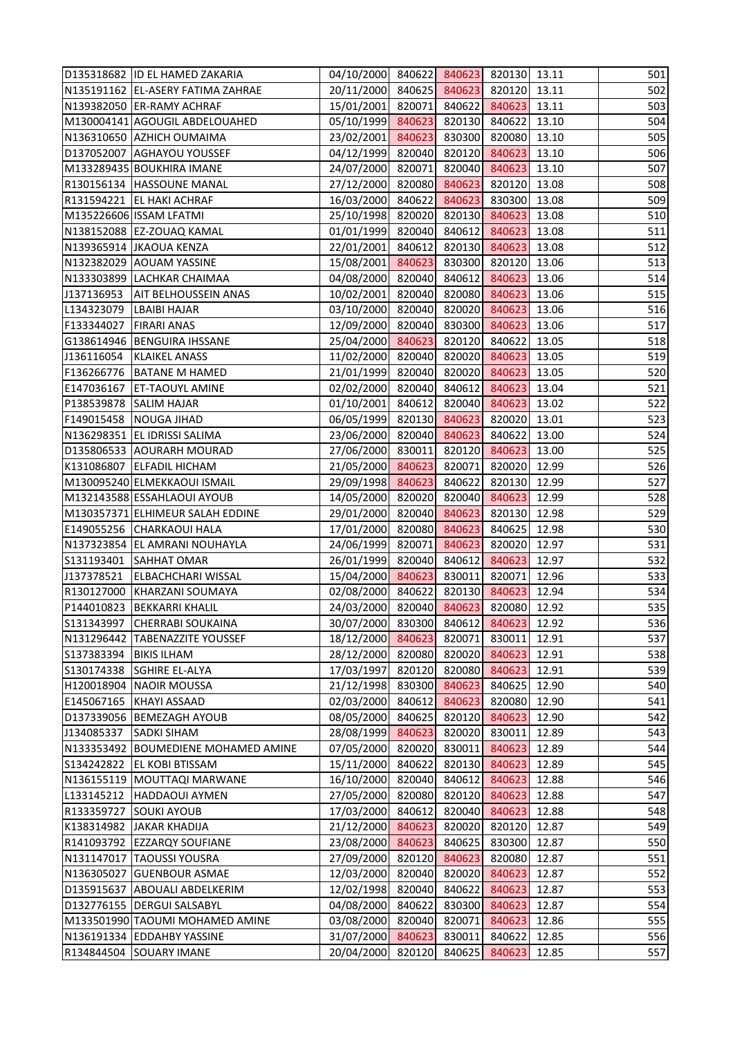|            | D135318682 ID EL HAMED ZAKARIA                       | 04/10/2000 840622 840623 820130 13.11  |        |                  |                  |                | 501        |
|------------|------------------------------------------------------|----------------------------------------|--------|------------------|------------------|----------------|------------|
|            | N135191162 EL-ASERY FATIMA ZAHRAE                    | 20/11/2000 840625 840623 820120 13.11  |        |                  |                  |                | 502        |
|            | N139382050 ER-RAMY ACHRAF                            | 15/01/2001 820071                      |        | 840622           | 840623           | 13.11          | 503        |
|            | M130004141 AGOUGIL ABDELOUAHED                       | 05/10/1999 840623                      |        |                  | 820130 840622    | 13.10          | 504        |
|            | N136310650 AZHICH OUMAIMA                            | 23/02/2001 840623 830300 820080 13.10  |        |                  |                  |                | 505        |
|            | D137052007 AGHAYOU YOUSSEF                           | 04/12/1999 820040 820120               |        |                  | 840623           | 13.10          | 506        |
|            | M133289435 BOUKHIRA IMANE                            | 24/07/2000 820071 820040 840623        |        |                  |                  | 13.10          | 507        |
|            | R130156134 HASSOUNE MANAL                            | 27/12/2000 820080 840623               |        |                  | 820120           | 13.08          | 508        |
|            | R131594221 EL HAKI ACHRAF                            | 16/03/2000 840622                      |        | 840623           | 830300           | 13.08          | 509        |
|            | M135226606 ISSAM LFATMI                              | 25/10/1998 820020 820130 840623        |        |                  |                  | 13.08          | 510        |
|            | N138152088 EZ-ZOUAQ KAMAL                            | 01/01/1999 820040 840612               |        |                  | 840623           | 13.08          | 511        |
|            | N139365914 JKAOUA KENZA                              | 22/01/2001 840612 820130 840623        |        |                  |                  | 13.08          | 512        |
|            | N132382029 AOUAM YASSINE                             | 15/08/2001 840623                      |        | 830300           | 820120           | 13.06          | 513        |
|            | N133303899 LACHKAR CHAIMAA                           | 04/08/2000 820040                      |        | 840612           | 840623           | 13.06          | 514        |
| J137136953 | <b>AIT BELHOUSSEIN ANAS</b>                          | 10/02/2001 820040 820080 840623        |        |                  |                  | 13.06          | 515        |
| L134323079 | <b>LBAIBI HAJAR</b>                                  | 03/10/2000 820040 820020               |        |                  | 840623           | 13.06          | 516        |
| F133344027 | <b>FIRARI ANAS</b>                                   | 12/09/2000 820040 830300 840623        |        |                  |                  | 13.06          | 517        |
|            | G138614946   BENGUIRA IHSSANE                        | 25/04/2000 840623                      |        | 820120           | 840622           | 13.05          | 518        |
| J136116054 | <b>KLAIKEL ANASS</b>                                 | 11/02/2000 820040 820020               |        |                  | 840623           | 13.05          | 519        |
|            | F136266776 BATANE M HAMED                            | 21/01/1999 820040 820020 840623        |        |                  |                  | 13.05          | 520        |
| E147036167 | <b>ET-TAOUYL AMINE</b>                               | 02/02/2000 820040 840612               |        |                  | 840623           | 13.04          | 521        |
|            | P138539878 SALIM HAJAR                               | 01/10/2001 840612 820040 840623        |        |                  |                  | 13.02          | 522        |
| F149015458 | <b>NOUGA JIHAD</b>                                   | 06/05/1999 820130 840623               |        |                  | 820020           | 13.01          | 523        |
|            | N136298351 EL IDRISSI SALIMA                         | 23/06/2000 820040 840623               |        |                  | 840622           | 13.00          | 524        |
|            | D135806533 AOURARH MOURAD                            | 27/06/2000 830011                      |        | 820120           | 840623           | 13.00          | 525        |
|            | K131086807 ELFADIL HICHAM                            | 21/05/2000 840623                      |        | 820071           | 820020 12.99     |                | 526        |
|            | M130095240 ELMEKKAOUI ISMAIL                         | 29/09/1998 840623                      |        | 840622           | 820130           | 12.99          | 527        |
|            | M132143588 ESSAHLAOUI AYOUB                          | 14/05/2000 820020                      |        | 820040           | 840623           | 12.99          | 528        |
|            | M130357371 ELHIMEUR SALAH EDDINE                     | 29/01/2000 820040 840623               |        |                  | 820130           | 12.98          | 529        |
|            | E149055256 CHARKAOUI HALA                            | 17/01/2000 820080                      |        | 840623           | 840625           | 12.98          | 530        |
|            | N137323854 EL AMRANI NOUHAYLA                        | 24/06/1999 820071                      |        | 840623           | 820020           | 12.97          | 531        |
|            | S131193401 SAHHAT OMAR                               | 26/01/1999 820040 840612 840623        |        |                  |                  | 12.97          | 532        |
| J137378521 | <b>ELBACHCHARI WISSAL</b>                            | 15/04/2000 840623                      |        | 830011           | 820071           | 12.96          | 533        |
|            | R130127000 KHARZANI SOUMAYA                          | 02/08/2000 840622                      |        | 820130           | 840623           | 12.94          | 534        |
| P144010823 | <b>BEKKARRI KHALIL</b>                               | 24/03/2000 820040                      |        | 840623           | 820080           | 12.92          | 535        |
| S131343997 | <b>CHERRABI SOUKAINA</b>                             | 30/07/2000 830300                      |        | 840612           | 840623           | 12.92          | 536        |
|            | N131296442 TABENAZZITE YOUSSEF                       | 18/12/2000 840623                      |        | 820071           | 830011           | 12.91          | 537        |
| S137383394 | <b>BIKIS ILHAM</b>                                   | 28/12/2000 820080                      |        | 820020           | 840623           | 12.91          | 538        |
| S130174338 | <b>SGHIRE EL-ALYA</b>                                | 17/03/1997 820120                      |        | 820080           | 840623           | 12.91          | 539        |
| H120018904 | <b>NAOIR MOUSSA</b>                                  | 21/12/1998                             | 830300 | 840623           | 840625           | 12.90          | 540        |
| E145067165 | <b>KHAYI ASSAAD</b>                                  | 02/03/2000                             | 840612 | 840623           | 820080           | 12.90          | 541        |
|            | D137339056 BEMEZAGH AYOUB                            | 08/05/2000 840625                      |        | 820120           | 840623           | 12.90          | 542        |
| J134085337 | <b>SADKI SIHAM</b>                                   | 28/08/1999 840623                      |        | 820020           | 830011           | 12.89          | 543        |
|            | N133353492 BOUMEDIENE MOHAMED AMINE                  | 07/05/2000 820020                      |        | 830011           | 840623           | 12.89          | 544        |
| S134242822 | <b>EL KOBI BTISSAM</b>                               | 15/11/2000                             | 840622 | 820130           | 840623           | 12.89          | 545<br>546 |
| L133145212 | N136155119 MOUTTAQI MARWANE<br><b>HADDAOUI AYMEN</b> | 16/10/2000 820040<br>27/05/2000 820080 |        | 840612<br>820120 | 840623<br>840623 | 12.88<br>12.88 | 547        |
| R133359727 | <b>SOUKI AYOUB</b>                                   | 17/03/2000 840612                      |        | 820040           | 840623           | 12.88          | 548        |
| K138314982 | JAKAR KHADIJA                                        | 21/12/2000 840623                      |        | 820020           | 820120           | 12.87          | 549        |
| R141093792 | <b>EZZARQY SOUFIANE</b>                              | 23/08/2000                             | 840623 | 840625           | 830300           | 12.87          | 550        |
|            | N131147017 TAOUSSI YOUSRA                            | 27/09/2000 820120                      |        | 840623           | 820080           | 12.87          | 551        |
|            | N136305027 GUENBOUR ASMAE                            | 12/03/2000 820040                      |        | 820020           | 840623           | 12.87          | 552        |
|            | D135915637 ABOUALI ABDELKERIM                        | 12/02/1998 820040                      |        | 840622           | 840623           | 12.87          | 553        |
|            | D132776155 DERGUI SALSABYL                           | 04/08/2000 840622                      |        | 830300           | 840623           | 12.87          | 554        |
|            | M133501990 TAOUMI MOHAMED AMINE                      | 03/08/2000                             | 820040 | 820071           | 840623           | 12.86          | 555        |
|            | N136191334 EDDAHBY YASSINE                           | 31/07/2000 840623                      |        | 830011           | 840622           | 12.85          | 556        |
|            | R134844504 SOUARY IMANE                              | 20/04/2000                             | 820120 | 840625           | 840623           | 12.85          | 557        |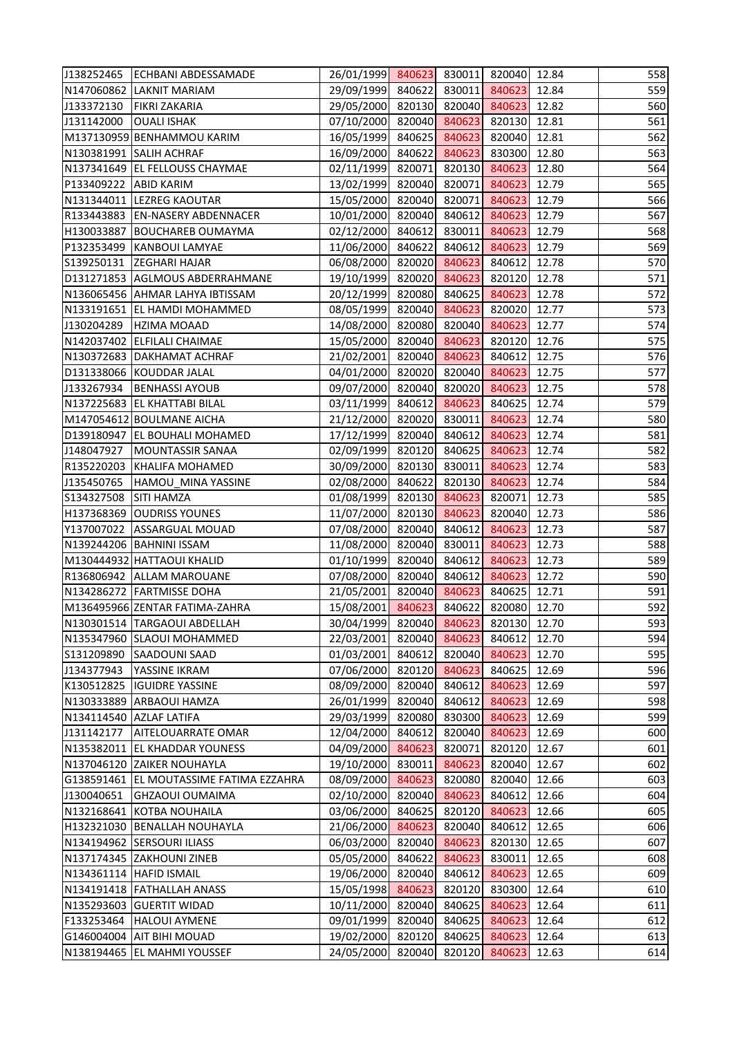|                         | J138252465   ECHBANI ABDESSAMADE                           | 26/01/1999 840623 830011 820040 12.84  |        |                  |                  |                | 558        |
|-------------------------|------------------------------------------------------------|----------------------------------------|--------|------------------|------------------|----------------|------------|
|                         | N147060862 LAKNIT MARIAM                                   | 29/09/1999 840622                      |        | 830011           | 840623           | 12.84          | 559        |
| J133372130              | <b>FIKRI ZAKARIA</b>                                       | 29/05/2000 820130 820040 840623        |        |                  |                  | 12.82          | 560        |
| J131142000              | <b>OUALI ISHAK</b>                                         | 07/10/2000 820040 840623               |        |                  | 820130           | 12.81          | 561        |
|                         | M137130959 BENHAMMOU KARIM                                 | 16/05/1999 840625 840623               |        |                  | 820040 12.81     |                | 562        |
|                         | N130381991 SALIH ACHRAF                                    | 16/09/2000 840622 840623               |        |                  | 830300 12.80     |                | 563        |
|                         | N137341649 EL FELLOUSS CHAYMAE                             | 02/11/1999 820071 820130 840623        |        |                  |                  | 12.80          | 564        |
| P133409222   ABID KARIM |                                                            | 13/02/1999 820040                      |        | 820071           | 840623           | 12.79          | 565        |
|                         | N131344011 LEZREG KAOUTAR                                  | 15/05/2000 820040                      |        | 820071           | 840623           | 12.79          | 566        |
|                         | R133443883 EN-NASERY ABDENNACER                            | 10/01/2000 820040 840612               |        |                  | 840623           | 12.79          | 567        |
|                         | H130033887 BOUCHAREB OUMAYMA                               | 02/12/2000 840612 830011               |        |                  | 840623           | 12.79          | 568        |
|                         | P132353499 KANBOUI LAMYAE                                  | 11/06/2000 840622 840612 840623        |        |                  |                  | 12.79          | 569        |
|                         | S139250131 ZEGHARI HAJAR                                   | 06/08/2000 820020 840623               |        |                  | 840612           | 12.78          | 570        |
|                         | D131271853 AGLMOUS ABDERRAHMANE                            | 19/10/1999 820020 840623               |        |                  | 820120           | 12.78          | 571        |
|                         | N136065456 AHMAR LAHYA IBTISSAM                            | 20/12/1999 820080 840625 840623        |        |                  |                  | 12.78          | 572        |
|                         | N133191651 EL HAMDI MOHAMMED                               | 08/05/1999 820040 840623               |        |                  | 820020 12.77     |                | 573        |
| J130204289              | <b>HZIMA MOAAD</b>                                         | 14/08/2000 820080 820040 840623        |        |                  |                  | 12.77          | 574        |
|                         | N142037402 ELFILALI CHAIMAE                                | 15/05/2000 820040 840623               |        |                  | 820120           | 12.76          | 575        |
|                         | N130372683 DAKHAMAT ACHRAF                                 | 21/02/2001 820040 840623               |        |                  | 840612           | 12.75          | 576        |
|                         | D131338066 KOUDDAR JALAL                                   | 04/01/2000 820020 820040 840623        |        |                  |                  | 12.75          | 577        |
|                         | J133267934   BENHASSI AYOUB                                | 09/07/2000 820040 820020 840623        |        |                  |                  | 12.75          | 578        |
|                         | N137225683 EL KHATTABI BILAL                               | 03/11/1999 840612 840623 840625        |        |                  |                  | 12.74          | 579        |
|                         | M147054612 BOULMANE AICHA                                  | 21/12/2000 820020                      |        | 830011           | 840623           | 12.74          | 580        |
|                         | D139180947 EL BOUHALI MOHAMED                              | 17/12/1999 820040                      |        | 840612           | 840623           | 12.74          | 581        |
|                         | J148047927   MOUNTASSIR SANAA                              | 02/09/1999 820120 840625               |        |                  | 840623           | 12.74          | 582        |
|                         | R135220203 KHALIFA MOHAMED                                 | 30/09/2000 820130 830011               |        |                  | 840623           | 12.74          | 583        |
| J135450765              | HAMOU_MINA YASSINE                                         | 02/08/2000 840622 820130 840623        |        |                  |                  | 12.74          | 584        |
| S134327508              | <b>SITI HAMZA</b>                                          | 01/08/1999 820130 840623               |        |                  | 820071           | 12.73          | 585        |
|                         | H137368369 OUDRISS YOUNES                                  | 11/07/2000 820130 840623               |        |                  | 820040           | 12.73          | 586        |
| Y137007022              | <b>ASSARGUAL MOUAD</b>                                     | 07/08/2000 820040                      |        | 840612           | 840623           | 12.73          | 587        |
|                         | N139244206   BAHNINI ISSAM                                 | 11/08/2000 820040 830011               |        |                  | 840623           | 12.73          | 588        |
|                         | M130444932 HATTAOUI KHALID                                 | 01/10/1999 820040 840612 840623        |        |                  |                  | 12.73          | 589        |
|                         | R136806942 ALLAM MAROUANE                                  | 07/08/2000 820040                      |        | 840612           | 840623           | 12.72          | 590        |
|                         | N134286272 FARTMISSE DOHA                                  | 21/05/2001 820040                      |        | 840623           | 840625           | 12.71          | 591        |
|                         | M136495966 ZENTAR FATIMA-ZAHRA                             | 15/08/2001                             | 840623 | 840622           | 820080           | 12.70          | 592        |
|                         | N130301514 TARGAOUI ABDELLAH                               | 30/04/1999                             | 820040 | 840623           | 820130           | 12.70          | 593        |
|                         | N135347960 SLAOUI MOHAMMED                                 | 22/03/2001 820040                      |        | 840623           | 840612           | 12.70          | 594        |
| S131209890              | <b>SAADOUNI SAAD</b>                                       | 01/03/2001 840612                      |        | 820040           | 840623           | 12.70          | 595        |
| J134377943              | YASSINE IKRAM                                              | 07/06/2000 820120                      |        | 840623           | 840625           | 12.69          | 596        |
| K130512825              | <b>IGUIDRE YASSINE</b>                                     | 08/09/2000                             | 820040 | 840612           | 840623           | 12.69          | 597        |
| N130333889              | <b>ARBAOUI HAMZA</b>                                       | 26/01/1999                             | 820040 | 840612           | 840623           | 12.69          | 598        |
| N134114540 AZLAF LATIFA |                                                            | 29/03/1999 820080                      |        | 830300           | 840623           | 12.69          | 599        |
| J131142177              | <b>AITELOUARRATE OMAR</b>                                  | 12/04/2000 840612                      |        | 820040           | 840623           | 12.69          | 600        |
|                         | N135382011 EL KHADDAR YOUNESS                              | 04/09/2000 840623                      |        | 820071           | 820120           | 12.67          | 601        |
|                         | N137046120 ZAIKER NOUHAYLA                                 | 19/10/2000                             | 830011 | 840623           | 820040           | 12.67          | 602        |
|                         | G138591461 EL MOUTASSIME FATIMA EZZAHRA                    | 08/09/2000 840623                      |        | 820080           | 820040           | 12.66          | 603        |
| J130040651              | <b>GHZAOUI OUMAIMA</b>                                     | 02/10/2000 820040                      |        | 840623           | 840612           | 12.66          | 604        |
|                         | N132168641 KOTBA NOUHAILA                                  | 03/06/2000 840625                      |        | 820120           | 840623           | 12.66          | 605        |
|                         | H132321030 BENALLAH NOUHAYLA<br>N134194962 SERSOURI ILIASS | 21/06/2000 840623<br>06/03/2000 820040 |        | 820040<br>840623 | 840612<br>820130 | 12.65<br>12.65 | 606<br>607 |
|                         | N137174345 ZAKHOUNI ZINEB                                  | 05/05/2000 840622                      |        | 840623           | 830011           | 12.65          | 608        |
|                         | N134361114 HAFID ISMAIL                                    | 19/06/2000 820040                      |        | 840612           | 840623           | 12.65          | 609        |
|                         | N134191418 FATHALLAH ANASS                                 | 15/05/1998 840623                      |        | 820120           | 830300           | 12.64          | 610        |
|                         | N135293603 GUERTIT WIDAD                                   | 10/11/2000 820040                      |        | 840625           | 840623           | 12.64          | 611        |
| F133253464              | <b>HALOUI AYMENE</b>                                       | 09/01/1999                             | 820040 | 840625           | 840623           | 12.64          | 612        |
|                         | G146004004 AIT BIHI MOUAD                                  | 19/02/2000 820120                      |        | 840625           | 840623           | 12.64          | 613        |
|                         | N138194465 EL MAHMI YOUSSEF                                | 24/05/2000                             | 820040 | 820120           | 840623           | 12.63          | 614        |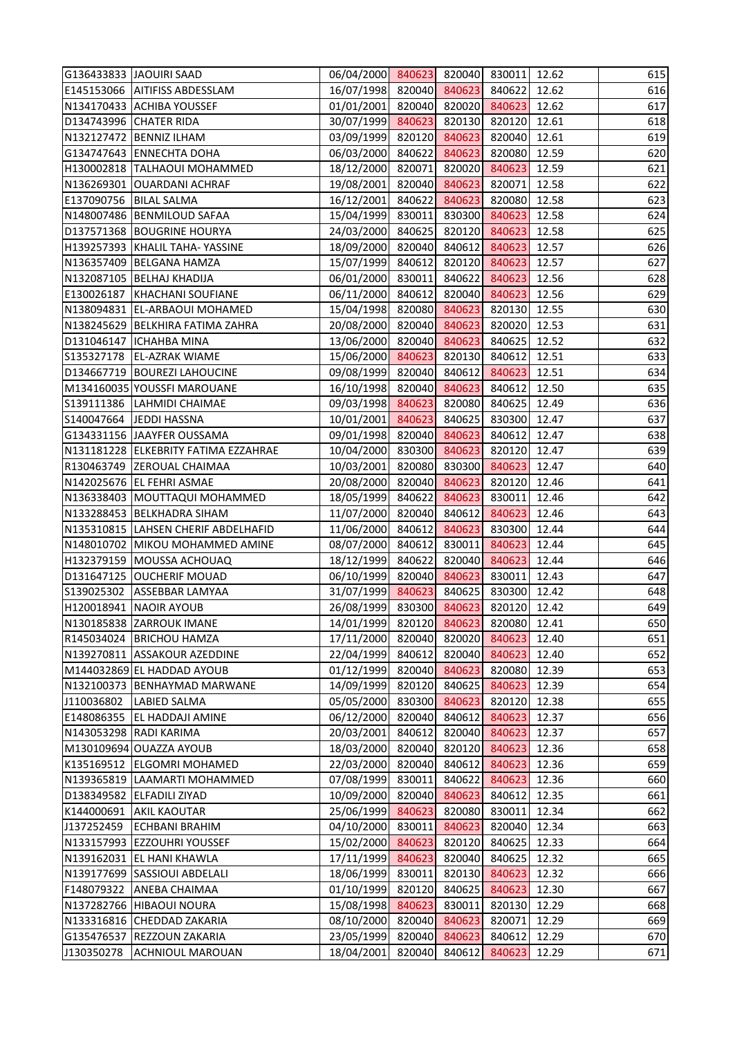|                         | G136433833  JAOUIRI SAAD                             | 06/04/2000 840623 820040 830011 |        |                  |                  | 12.62          | 615        |
|-------------------------|------------------------------------------------------|---------------------------------|--------|------------------|------------------|----------------|------------|
|                         | E145153066 AITIFISS ABDESSLAM                        | 16/07/1998 820040 840623        |        |                  | 840622           | 12.62          | 616        |
|                         | N134170433 ACHIBA YOUSSEF                            | 01/01/2001 820040 820020 840623 |        |                  |                  | 12.62          | 617        |
|                         | D134743996 CHATER RIDA                               | 30/07/1999 840623 820130        |        |                  | 820120           | 12.61          | 618        |
|                         | N132127472 BENNIZ ILHAM                              | 03/09/1999 820120 840623        |        |                  | 820040           | 12.61          | 619        |
|                         | G134747643 ENNECHTA DOHA                             | 06/03/2000 840622               |        | 840623           | 820080 12.59     |                | 620        |
|                         | H130002818 TALHAOUI MOHAMMED                         | 18/12/2000 820071 820020        |        |                  | 840623           | 12.59          | 621        |
|                         | N136269301 OUARDANI ACHRAF                           | 19/08/2001 820040               |        | 840623           | 820071           | 12.58          | 622        |
| E137090756  BILAL SALMA |                                                      | 16/12/2001 840622               |        | 840623           | 820080           | 12.58          | 623        |
|                         | N148007486 BENMILOUD SAFAA                           | 15/04/1999 830011 830300 840623 |        |                  |                  | 12.58          | 624        |
|                         | D137571368 BOUGRINE HOURYA                           | 24/03/2000 840625               |        | 820120           | 840623           | 12.58          | 625        |
|                         | H139257393 KHALIL TAHA- YASSINE                      | 18/09/2000 820040               |        |                  | 840612 840623    | 12.57          | 626        |
|                         | N136357409 BELGANA HAMZA                             | 15/07/1999 840612               |        | 820120           | 840623           | 12.57          | 627        |
|                         | N132087105 BELHAJ KHADIJA                            | 06/01/2000 830011               |        | 840622           | 840623           | 12.56          | 628        |
|                         | E130026187 KHACHANI SOUFIANE                         | 06/11/2000 840612 820040 840623 |        |                  |                  | 12.56          | 629        |
|                         | N138094831 EL-ARBAOUI MOHAMED                        | 15/04/1998 820080 840623        |        |                  | 820130 12.55     |                | 630        |
|                         | N138245629 BELKHIRA FATIMA ZAHRA                     | 20/08/2000 820040 840623        |        |                  | 820020 12.53     |                | 631        |
|                         | D131046147  ICHAHBA MINA                             | 13/06/2000 820040               |        | 840623           | 840625           | 12.52          | 632        |
|                         | S135327178 EL-AZRAK WIAME                            | 15/06/2000 840623               |        | 820130           | 840612           | 12.51          | 633        |
|                         | D134667719   BOUREZI LAHOUCINE                       | 09/08/1999 820040 840612        |        |                  | 840623           | 12.51          | 634        |
|                         | M134160035 YOUSSFI MAROUANE                          | 16/10/1998 820040 840623        |        |                  | 840612           | 12.50          | 635        |
|                         | S139111386  LAHMIDI CHAIMAE                          | 09/03/1998 840623               |        | 820080           | 840625           | 12.49          | 636        |
|                         | S140047664 JEDDI HASSNA                              | 10/01/2001 840623               |        | 840625           | 830300           | 12.47          | 637        |
|                         | G134331156 JJAAYFER OUSSAMA                          | 09/01/1998 820040 840623        |        |                  | 840612           | 12.47          | 638        |
|                         | N131181228 ELKEBRITY FATIMA EZZAHRAE                 | 10/04/2000 830300 840623        |        |                  | 820120           | 12.47          | 639        |
|                         | R130463749 ZEROUAL CHAIMAA                           | 10/03/2001 820080               |        | 830300           | 840623           | 12.47          | 640        |
|                         | N142025676 EL FEHRI ASMAE                            | 20/08/2000 820040               |        | 840623           | 820120           | 12.46          | 641        |
|                         | N136338403 MOUTTAQUI MOHAMMED                        | 18/05/1999 840622               |        | 840623           | 830011           | 12.46          | 642        |
|                         | N133288453 BELKHADRA SIHAM                           | 11/07/2000 820040               |        | 840612           | 840623           | 12.46          | 643        |
|                         | N135310815 LAHSEN CHERIF ABDELHAFID                  | 11/06/2000 840612               |        | 840623           | 830300           | 12.44          | 644        |
|                         | N148010702 MIKOU MOHAMMED AMINE                      | 08/07/2000 840612               |        | 830011           | 840623           | 12.44          | 645        |
|                         | H132379159 MOUSSA ACHOUAQ                            | 18/12/1999 840622 820040 840623 |        |                  |                  | 12.44          | 646        |
|                         | D131647125 OUCHERIF MOUAD                            | 06/10/1999 820040               |        | 840623           | 830011           | 12.43          | 647        |
|                         | S139025302 ASSEBBAR LAMYAA                           | 31/07/1999 840623               |        | 840625           | 830300           | 12.42          | 648        |
|                         | H120018941 NAOIR AYOUB                               | 26/08/1999                      | 830300 | 840623           | 820120           | 12.42          | 649        |
|                         | N130185838 ZARROUK IMANE                             | 14/01/1999                      | 820120 | 840623           | 820080           | 12.41          | 650        |
|                         | R145034024 BRICHOU HAMZA                             | 17/11/2000 820040               |        | 820020           | 840623           | 12.40          | 651        |
|                         | N139270811 ASSAKOUR AZEDDINE                         | 22/04/1999 840612               |        | 820040           | 840623           | 12.40          | 652        |
|                         | M144032869 EL HADDAD AYOUB                           | 01/12/1999 820040               |        | 840623           | 820080           | 12.39          | 653        |
|                         | N132100373 BENHAYMAD MARWANE                         | 14/09/1999                      | 820120 | 840625           | 840623           | 12.39          | 654        |
| J110036802              | <b>LABIED SALMA</b>                                  | 05/05/2000                      | 830300 | 840623           | 820120           | 12.38          | 655        |
|                         | E148086355 EL HADDAJI AMINE                          | 06/12/2000 820040               |        | 840612           | 840623           | 12.37          | 656        |
|                         | N143053298 RADI KARIMA                               | 20/03/2001                      | 840612 | 820040           | 840623           | 12.37          | 657        |
|                         | M130109694 OUAZZA AYOUB                              | 18/03/2000 820040               |        | 820120           | 840623           | 12.36          | 658        |
| K135169512              | <b>ELGOMRI MOHAMED</b>                               | 22/03/2000                      | 820040 | 840612           | 840623           | 12.36          | 659        |
|                         | N139365819 LAAMARTI MOHAMMED                         | 07/08/1999                      | 830011 | 840622           | 840623           | 12.36          | 660        |
|                         | D138349582 ELFADILI ZIYAD                            | 10/09/2000 820040               |        | 840623           | 840612           | 12.35          | 661        |
| K144000691              | <b>AKIL KAOUTAR</b>                                  | 25/06/1999 840623               |        | 820080           | 830011           | 12.34          | 662        |
| J137252459              | <b>ECHBANI BRAHIM</b><br>N133157993 EZZOUHRI YOUSSEF | 04/10/2000 830011<br>15/02/2000 | 840623 | 840623<br>820120 | 820040<br>840625 | 12.34<br>12.33 | 663<br>664 |
|                         | N139162031 EL HANI KHAWLA                            | 17/11/1999 840623               |        | 820040           | 840625           | 12.32          | 665        |
|                         | N139177699 SASSIOUI ABDELALI                         | 18/06/1999 830011               |        | 820130           | 840623           | 12.32          | 666        |
| F148079322              | ANEBA CHAIMAA                                        | 01/10/1999                      | 820120 | 840625           | 840623           | 12.30          | 667        |
|                         | N137282766 HIBAOUI NOURA                             | 15/08/1998                      | 840623 | 830011           | 820130           | 12.29          | 668        |
| N133316816              | <b>CHEDDAD ZAKARIA</b>                               | 08/10/2000                      | 820040 | 840623           | 820071           | 12.29          | 669        |
|                         | G135476537 REZZOUN ZAKARIA                           | 23/05/1999                      | 820040 | 840623           | 840612           | 12.29          | 670        |
| J130350278              | <b>ACHNIOUL MAROUAN</b>                              | 18/04/2001                      | 820040 | 840612           | 840623           | 12.29          | 671        |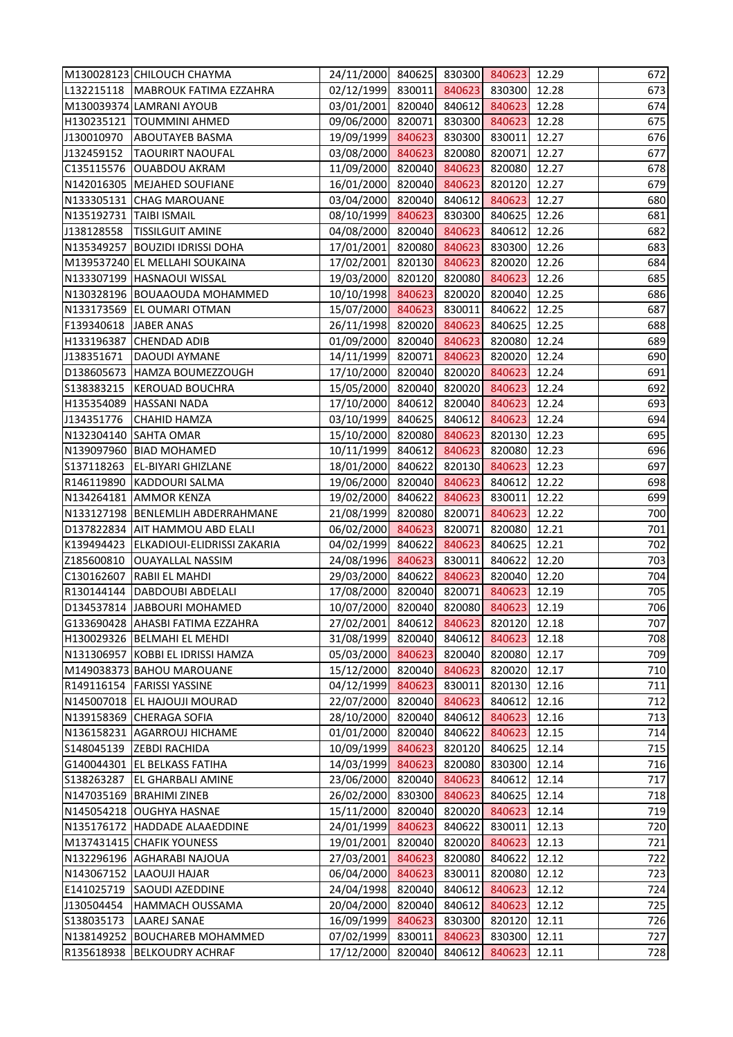|                         | M130028123 CHILOUCH CHAYMA                                   | 24/11/2000 840625 830300 840623 12.29  |                  |                  |                | 672        |
|-------------------------|--------------------------------------------------------------|----------------------------------------|------------------|------------------|----------------|------------|
|                         | L132215118   MABROUK FATIMA EZZAHRA                          | 02/12/1999 830011 840623 830300 12.28  |                  |                  |                | 673        |
|                         | M130039374 LAMRANI AYOUB                                     | 03/01/2001 820040                      | 840612           | 840623           | 12.28          | 674        |
|                         | H130235121 TOUMMINI AHMED                                    | 09/06/2000 820071 830300 840623        |                  |                  | 12.28          | 675        |
|                         | J130010970   ABOUTAYEB BASMA                                 | 19/09/1999 840623 830300 830011        |                  |                  | 12.27          | 676        |
| J132459152              | <b>TAOURIRT NAOUFAL</b>                                      | 03/08/2000 840623 820080 820071        |                  |                  | 12.27          | 677        |
|                         | C135115576 OUABDOU AKRAM                                     | 11/09/2000 820040 840623 820080 12.27  |                  |                  |                | 678        |
|                         | N142016305 MEJAHED SOUFIANE                                  | 16/01/2000 820040 840623               |                  | 820120           | 12.27          | 679        |
|                         | N133305131 CHAG MAROUANE                                     | 03/04/2000 820040 840612               |                  | 840623           | 12.27          | 680        |
| N135192731 TAIBI ISMAIL |                                                              | 08/10/1999 840623 830300 840625 12.26  |                  |                  |                | 681        |
|                         | J138128558   TISSILGUIT AMINE                                | 04/08/2000 820040 840623 840612        |                  |                  | 12.26          | 682        |
|                         | N135349257 BOUZIDI IDRISSI DOHA                              | 17/01/2001 820080 840623 830300 12.26  |                  |                  |                | 683        |
|                         | M139537240 EL MELLAHI SOUKAINA                               | 17/02/2001 820130 840623               |                  | 820020           | 12.26          | 684        |
|                         | N133307199 HASNAOUI WISSAL                                   | 19/03/2000 820120 820080 840623        |                  |                  | 12.26          | 685        |
|                         | N130328196 BOUAAOUDA MOHAMMED                                | 10/10/1998 840623 820020 820040 12.25  |                  |                  |                | 686        |
|                         | N133173569 EL OUMARI OTMAN                                   | 15/07/2000 840623 830011 840622        |                  |                  | 12.25          | 687        |
| F139340618 JABER ANAS   |                                                              | 26/11/1998 820020 840623               |                  | 840625           | 12.25          | 688        |
|                         | H133196387 CHENDAD ADIB                                      | 01/09/2000 820040 840623               |                  | 820080           | 12.24          | 689        |
| J138351671              | <b>DAOUDI AYMANE</b>                                         | 14/11/1999 820071 840623 820020 12.24  |                  |                  |                | 690        |
|                         | D138605673 HAMZA BOUMEZZOUGH                                 | 17/10/2000 820040 820020 840623        |                  |                  | 12.24          | 691        |
|                         | S138383215 KEROUAD BOUCHRA                                   | 15/05/2000 820040 820020 840623 12.24  |                  |                  |                | 692        |
|                         | H135354089 HASSANI NADA                                      | 17/10/2000 840612 820040 840623        |                  |                  | 12.24          | 693        |
| J134351776              | <b>CHAHID HAMZA</b>                                          | 03/10/1999 840625 840612 840623        |                  |                  | 12.24          | 694        |
|                         | N132304140 SAHTA OMAR                                        | 15/10/2000 820080 840623 820130 12.23  |                  |                  |                | 695        |
|                         | N139097960 BIAD MOHAMED                                      | 10/11/1999 840612 840623               |                  | 820080           | 12.23          | 696        |
|                         | S137118263 EL-BIYARI GHIZLANE                                | 18/01/2000 840622                      | 820130           | 840623           | 12.23          | 697        |
|                         | R146119890 KADDOURI SALMA                                    | 19/06/2000 820040 840623               |                  | 840612           | 12.22          | 698        |
|                         | N134264181 AMMOR KENZA                                       | 19/02/2000 840622                      | 840623           | 830011           | 12.22          | 699        |
|                         | N133127198 BENLEMLIH ABDERRAHMANE                            | 21/08/1999 820080 820071 840623        |                  |                  | 12.22          | 700        |
|                         | D137822834 AIT HAMMOU ABD ELALI                              | 06/02/2000 840623                      | 820071           | 820080           | 12.21          | 701        |
|                         | K139494423 ELKADIOUI-ELIDRISSI ZAKARIA                       | 04/02/1999 840622 840623               |                  | 840625           | 12.21          | 702        |
|                         | Z185600810 OUAYALLAL NASSIM                                  | 24/08/1996 840623 830011 840622 12.20  |                  |                  |                | 703        |
| C130162607              | RABII EL MAHDI                                               | 29/03/2000 840622                      | 840623           | 820040           | 12.20          | 704        |
|                         | R130144144 DABDOUBI ABDELALI                                 | 17/08/2000 820040 820071               |                  | 840623           | 12.19          | 705        |
|                         | D134537814 JABBOURI MOHAMED                                  | 10/07/2000 820040                      | 820080           | 840623           | 12.19          | 706        |
|                         | G133690428 AHASBI FATIMA EZZAHRA                             | 27/02/2001 840612                      | 840623           | 820120           | 12.18          | 707        |
|                         | H130029326 BELMAHI EL MEHDI                                  | 31/08/1999 820040                      | 840612           | 840623           | 12.18          | 708        |
|                         | N131306957 KOBBI EL IDRISSI HAMZA                            | 05/03/2000 840623                      | 820040           | 820080           | 12.17          | 709        |
|                         | M149038373 BAHOU MAROUANE                                    | 15/12/2000 820040                      | 840623           | 820020           | 12.17          | 710        |
|                         | R149116154 FARISSI YASSINE                                   | 04/12/1999 840623                      | 830011           | 820130           | 12.16          | 711        |
|                         | N145007018 EL HAJOUJI MOURAD                                 | 22/07/2000 820040                      | 840623           | 840612           | 12.16          | 712        |
|                         | N139158369 CHERAGA SOFIA                                     | 28/10/2000 820040                      | 840612           | 840623           | 12.16          | 713        |
|                         | N136158231 AGARROUJ HICHAME                                  | 01/01/2000 820040                      | 840622           | 840623           | 12.15          | 714        |
|                         | S148045139 ZEBDI RACHIDA                                     | 10/09/1999 840623                      | 820120           | 840625           | 12.14          | 715        |
|                         | G140044301 EL BELKASS FATIHA                                 | 14/03/1999 840623                      | 820080           | 830300           | 12.14          | 716        |
| S138263287              | <b>EL GHARBALI AMINE</b>                                     | 23/06/2000 820040                      | 840623           | 840612           | 12.14          | 717        |
|                         | N147035169 BRAHIMI ZINEB                                     | 26/02/2000 830300                      | 840623           | 840625           | 12.14          | 718        |
|                         | N145054218 OUGHYA HASNAE                                     | 15/11/2000 820040                      | 820020           | 840623           | 12.14          | 719        |
|                         | N135176172 HADDADE ALAAEDDINE                                | 24/01/1999 840623                      | 840622           | 830011           | 12.13          | 720        |
|                         | M137431415 CHAFIK YOUNESS                                    | 19/01/2001 820040                      | 820020           | 840623           | 12.13          | 721        |
|                         | N132296196 AGHARABI NAJOUA                                   | 27/03/2001 840623                      | 820080           | 840622           | 12.12          | 722        |
|                         | N143067152 LAAOUJI HAJAR                                     | 06/04/2000 840623                      | 830011           | 820080           | 12.12          | 723        |
| E141025719              | <b>SAOUDI AZEDDINE</b>                                       | 24/04/1998 820040                      | 840612           | 840623           | 12.12          | 724        |
| J130504454              | <b>HAMMACH OUSSAMA</b>                                       | 20/04/2000 820040                      | 840612           | 840623           | 12.12          | 725        |
| S138035173              | <b>LAAREJ SANAE</b>                                          | 16/09/1999 840623                      | 830300           | 820120           | 12.11          | 726        |
|                         | N138149252 BOUCHAREB MOHAMMED<br>R135618938 BELKOUDRY ACHRAF | 07/02/1999 830011<br>17/12/2000 820040 | 840623<br>840612 | 830300<br>840623 | 12.11<br>12.11 | 727<br>728 |
|                         |                                                              |                                        |                  |                  |                |            |